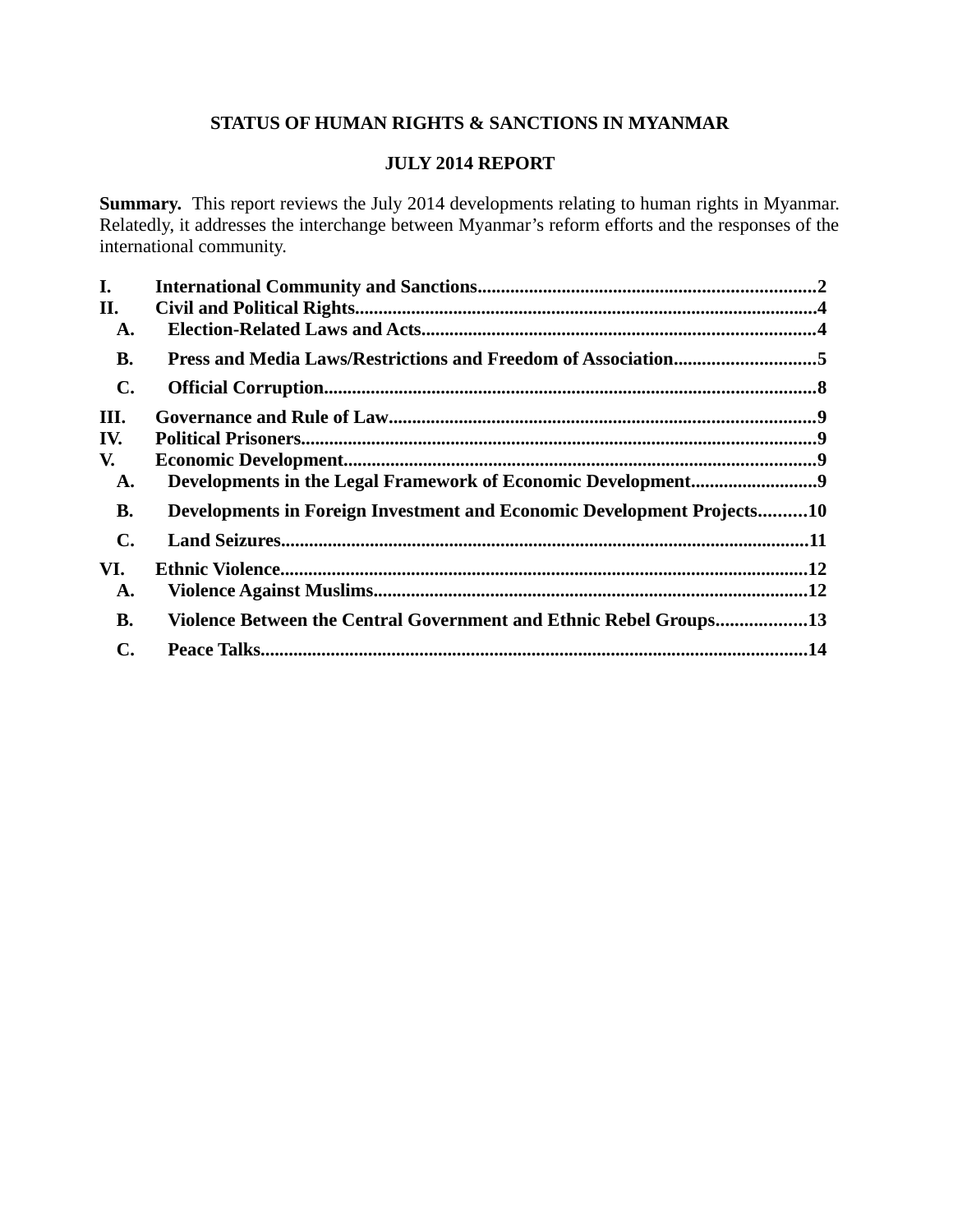# **STATUS OF HUMAN RIGHTS & SANCTIONS IN MYANMAR**

# **JULY 2014 REPORT**

**Summary.** This report reviews the July 2014 developments relating to human rights in Myanmar. Relatedly, it addresses the interchange between Myanmar's reform efforts and the responses of the international community.

| I.             |                                                                        |  |
|----------------|------------------------------------------------------------------------|--|
| II.            |                                                                        |  |
| A.             |                                                                        |  |
| <b>B.</b>      | Press and Media Laws/Restrictions and Freedom of Association5          |  |
| $\mathbf{C}$ . |                                                                        |  |
| III.           |                                                                        |  |
| IV.            |                                                                        |  |
| V.             |                                                                        |  |
| A.             |                                                                        |  |
| <b>B.</b>      | Developments in Foreign Investment and Economic Development Projects10 |  |
| $\mathbf{C}$ . |                                                                        |  |
| VI.            |                                                                        |  |
| A.             |                                                                        |  |
| <b>B.</b>      | Violence Between the Central Government and Ethnic Rebel Groups13      |  |
| C.             |                                                                        |  |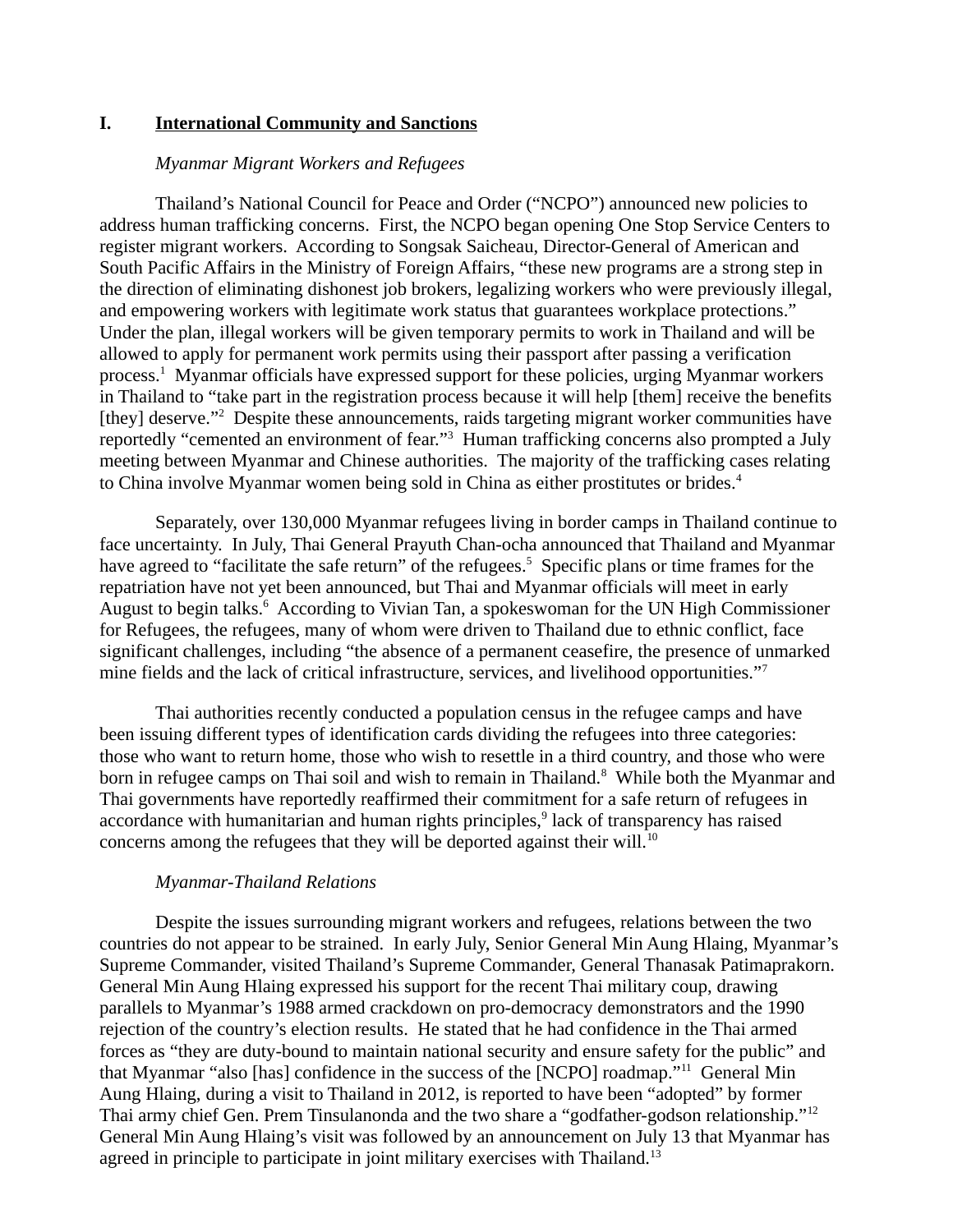## **I. International Community and Sanctions**

## *Myanmar Migrant Workers and Refugees*

Thailand's National Council for Peace and Order ("NCPO") announced new policies to address human trafficking concerns. First, the NCPO began opening One Stop Service Centers to register migrant workers. According to Songsak Saicheau, Director-General of American and South Pacific Affairs in the Ministry of Foreign Affairs, "these new programs are a strong step in the direction of eliminating dishonest job brokers, legalizing workers who were previously illegal, and empowering workers with legitimate work status that guarantees workplace protections." Under the plan, illegal workers will be given temporary permits to work in Thailand and will be allowed to apply for permanent work permits using their passport after passing a verification process.<sup>1</sup> Myanmar officials have expressed support for these policies, urging Myanmar workers in Thailand to "take part in the registration process because it will help [them] receive the benefits [they] deserve."<sup>2</sup> Despite these announcements, raids targeting migrant worker communities have reportedly "cemented an environment of fear."<sup>3</sup> Human trafficking concerns also prompted a July meeting between Myanmar and Chinese authorities. The majority of the trafficking cases relating to China involve Myanmar women being sold in China as either prostitutes or brides.<sup>4</sup>

Separately, over 130,000 Myanmar refugees living in border camps in Thailand continue to face uncertainty. In July, Thai General Prayuth Chan-ocha announced that Thailand and Myanmar have agreed to "facilitate the safe return" of the refugees.<sup>5</sup> Specific plans or time frames for the repatriation have not yet been announced, but Thai and Myanmar officials will meet in early August to begin talks.<sup>6</sup> According to Vivian Tan, a spokeswoman for the UN High Commissioner for Refugees, the refugees, many of whom were driven to Thailand due to ethnic conflict, face significant challenges, including "the absence of a permanent ceasefire, the presence of unmarked mine fields and the lack of critical infrastructure, services, and livelihood opportunities."<sup>7</sup>

Thai authorities recently conducted a population census in the refugee camps and have been issuing different types of identification cards dividing the refugees into three categories: those who want to return home, those who wish to resettle in a third country, and those who were born in refugee camps on Thai soil and wish to remain in Thailand.<sup>8</sup> While both the Myanmar and Thai governments have reportedly reaffirmed their commitment for a safe return of refugees in accordance with humanitarian and human rights principles,<sup>9</sup> lack of transparency has raised concerns among the refugees that they will be deported against their will. $10$ 

### *Myanmar-Thailand Relations*

Despite the issues surrounding migrant workers and refugees, relations between the two countries do not appear to be strained. In early July, Senior General Min Aung Hlaing, Myanmar's Supreme Commander, visited Thailand's Supreme Commander, General Thanasak Patimaprakorn. General Min Aung Hlaing expressed his support for the recent Thai military coup, drawing parallels to Myanmar's 1988 armed crackdown on pro-democracy demonstrators and the 1990 rejection of the country's election results. He stated that he had confidence in the Thai armed forces as "they are duty-bound to maintain national security and ensure safety for the public" and that Myanmar "also [has] confidence in the success of the [NCPO] roadmap."<sup>11</sup> General Min Aung Hlaing, during a visit to Thailand in 2012, is reported to have been "adopted" by former Thai army chief Gen. Prem Tinsulanonda and the two share a "godfather-godson relationship."<sup>12</sup> General Min Aung Hlaing's visit was followed by an announcement on July 13 that Myanmar has agreed in principle to participate in joint military exercises with Thailand.<sup>13</sup>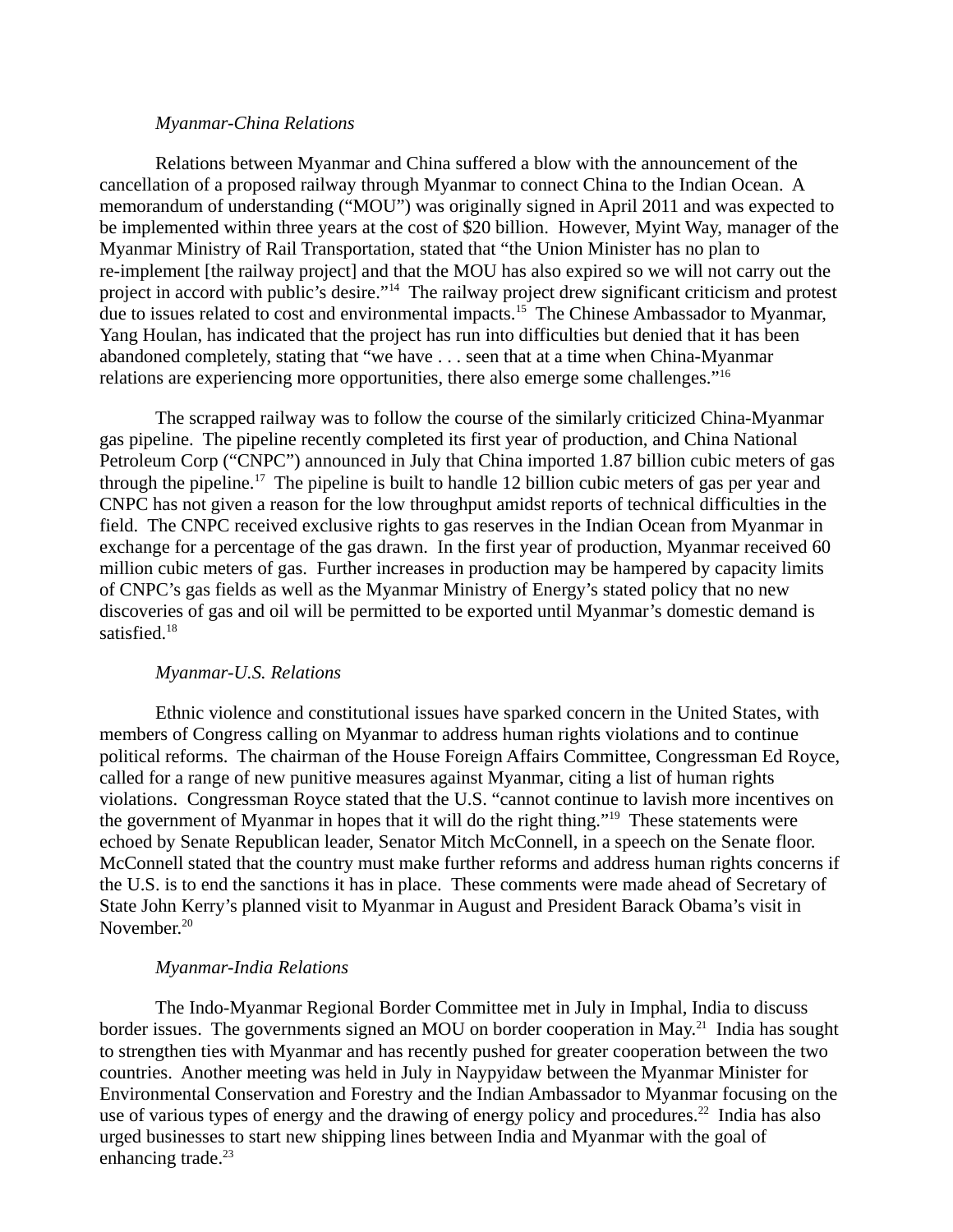### *Myanmar-China Relations*

Relations between Myanmar and China suffered a blow with the announcement of the cancellation of a proposed railway through Myanmar to connect China to the Indian Ocean. A memorandum of understanding ("MOU") was originally signed in April 2011 and was expected to be implemented within three years at the cost of \$20 billion. However, Myint Way, manager of the Myanmar Ministry of Rail Transportation, stated that "the Union Minister has no plan to re-implement [the railway project] and that the MOU has also expired so we will not carry out the project in accord with public's desire."<sup>14</sup> The railway project drew significant criticism and protest due to issues related to cost and environmental impacts.<sup>15</sup> The Chinese Ambassador to Myanmar, Yang Houlan, has indicated that the project has run into difficulties but denied that it has been abandoned completely, stating that "we have . . . seen that at a time when China-Myanmar relations are experiencing more opportunities, there also emerge some challenges."<sup>16</sup>

The scrapped railway was to follow the course of the similarly criticized China-Myanmar gas pipeline. The pipeline recently completed its first year of production, and China National Petroleum Corp ("CNPC") announced in July that China imported 1.87 billion cubic meters of gas through the pipeline.<sup>17</sup> The pipeline is built to handle 12 billion cubic meters of gas per year and CNPC has not given a reason for the low throughput amidst reports of technical difficulties in the field. The CNPC received exclusive rights to gas reserves in the Indian Ocean from Myanmar in exchange for a percentage of the gas drawn. In the first year of production, Myanmar received 60 million cubic meters of gas. Further increases in production may be hampered by capacity limits of CNPC's gas fields as well as the Myanmar Ministry of Energy's stated policy that no new discoveries of gas and oil will be permitted to be exported until Myanmar's domestic demand is satisfied.<sup>18</sup>

## *Myanmar-U.S. Relations*

Ethnic violence and constitutional issues have sparked concern in the United States, with members of Congress calling on Myanmar to address human rights violations and to continue political reforms. The chairman of the House Foreign Affairs Committee, Congressman Ed Royce, called for a range of new punitive measures against Myanmar, citing a list of human rights violations. Congressman Royce stated that the U.S. "cannot continue to lavish more incentives on the government of Myanmar in hopes that it will do the right thing."<sup>19</sup> These statements were echoed by Senate Republican leader, Senator Mitch McConnell, in a speech on the Senate floor. McConnell stated that the country must make further reforms and address human rights concerns if the U.S. is to end the sanctions it has in place. These comments were made ahead of Secretary of State John Kerry's planned visit to Myanmar in August and President Barack Obama's visit in November.<sup>20</sup>

## *Myanmar-India Relations*

The Indo-Myanmar Regional Border Committee met in July in Imphal, India to discuss border issues. The governments signed an MOU on border cooperation in May.<sup>21</sup> India has sought to strengthen ties with Myanmar and has recently pushed for greater cooperation between the two countries. Another meeting was held in July in Naypyidaw between the Myanmar Minister for Environmental Conservation and Forestry and the Indian Ambassador to Myanmar focusing on the use of various types of energy and the drawing of energy policy and procedures.<sup>22</sup> India has also urged businesses to start new shipping lines between India and Myanmar with the goal of enhancing trade. $23$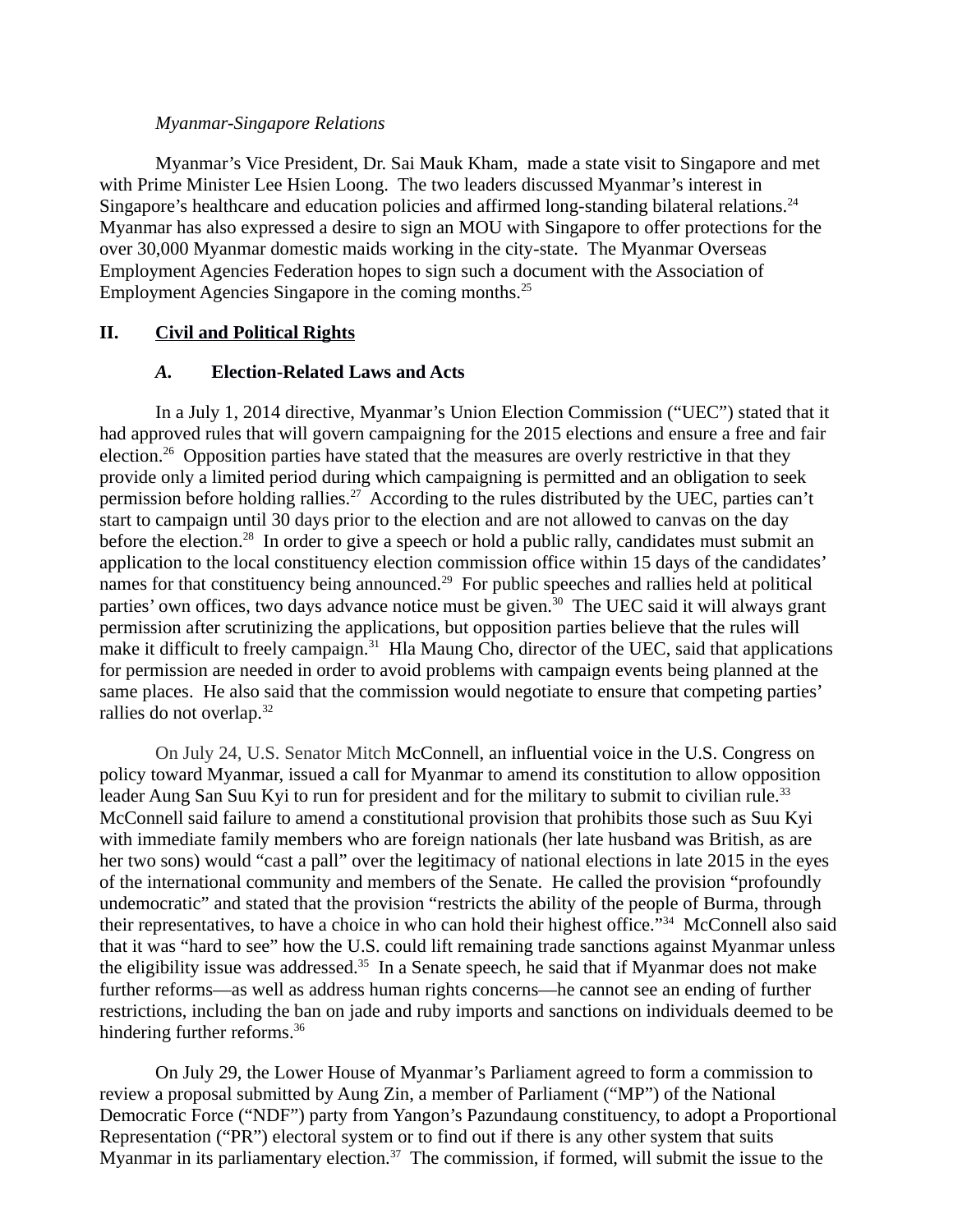## *Myanmar-Singapore Relations*

Myanmar's Vice President, Dr. Sai Mauk Kham, made a state visit to Singapore and met with Prime Minister Lee Hsien Loong. The two leaders discussed Myanmar's interest in Singapore's healthcare and education policies and affirmed long-standing bilateral relations. $^{24}$ Myanmar has also expressed a desire to sign an MOU with Singapore to offer protections for the over 30,000 Myanmar domestic maids working in the city-state. The Myanmar Overseas Employment Agencies Federation hopes to sign such a document with the Association of Employment Agencies Singapore in the coming months.<sup>25</sup>

# **II. Civil and Political Rights**

# *A.* **Election-Related Laws and Acts**

In a July 1, 2014 directive, Myanmar's Union Election Commission ("UEC") stated that it had approved rules that will govern campaigning for the 2015 elections and ensure a free and fair election.<sup>26</sup> Opposition parties have stated that the measures are overly restrictive in that they provide only a limited period during which campaigning is permitted and an obligation to seek permission before holding rallies.<sup>27</sup> According to the rules distributed by the UEC, parties can't start to campaign until 30 days prior to the election and are not allowed to canvas on the day before the election.<sup>28</sup> In order to give a speech or hold a public rally, candidates must submit an application to the local constituency election commission office within 15 days of the candidates' names for that constituency being announced.<sup>29</sup> For public speeches and rallies held at political parties' own offices, two days advance notice must be given.<sup>30</sup> The UEC said it will always grant permission after scrutinizing the applications, but opposition parties believe that the rules will make it difficult to freely campaign. $31$  Hla Maung Cho, director of the UEC, said that applications for permission are needed in order to avoid problems with campaign events being planned at the same places. He also said that the commission would negotiate to ensure that competing parties' rallies do not overlap.<sup>32</sup>

On July 24, U.S. Senator Mitch McConnell, an influential voice in the U.S. Congress on policy toward Myanmar, issued a call for Myanmar to amend its constitution to allow opposition leader Aung San Suu Kyi to run for president and for the military to submit to civilian rule. $^{33}$ McConnell said failure to amend a constitutional provision that prohibits those such as Suu Kyi with immediate family members who are foreign nationals (her late husband was British, as are her two sons) would "cast a pall" over the legitimacy of national elections in late 2015 in the eyes of the international community and members of the Senate. He called the provision "profoundly undemocratic" and stated that the provision "restricts the ability of the people of Burma, through their representatives, to have a choice in who can hold their highest office."<sup>34</sup> McConnell also said that it was "hard to see" how the U.S. could lift remaining trade sanctions against Myanmar unless the eligibility issue was addressed. $35$  In a Senate speech, he said that if Myanmar does not make further reforms—as well as address human rights concerns—he cannot see an ending of further restrictions, including the ban on jade and ruby imports and sanctions on individuals deemed to be hindering further reforms.<sup>36</sup>

On July 29, the Lower House of Myanmar's Parliament agreed to form a commission to review a proposal submitted by Aung Zin, a member of Parliament ("MP") of the National Democratic Force ("NDF") party from Yangon's Pazundaung constituency, to adopt a Proportional Representation ("PR") electoral system or to find out if there is any other system that suits Myanmar in its parliamentary election.<sup>37</sup> The commission, if formed, will submit the issue to the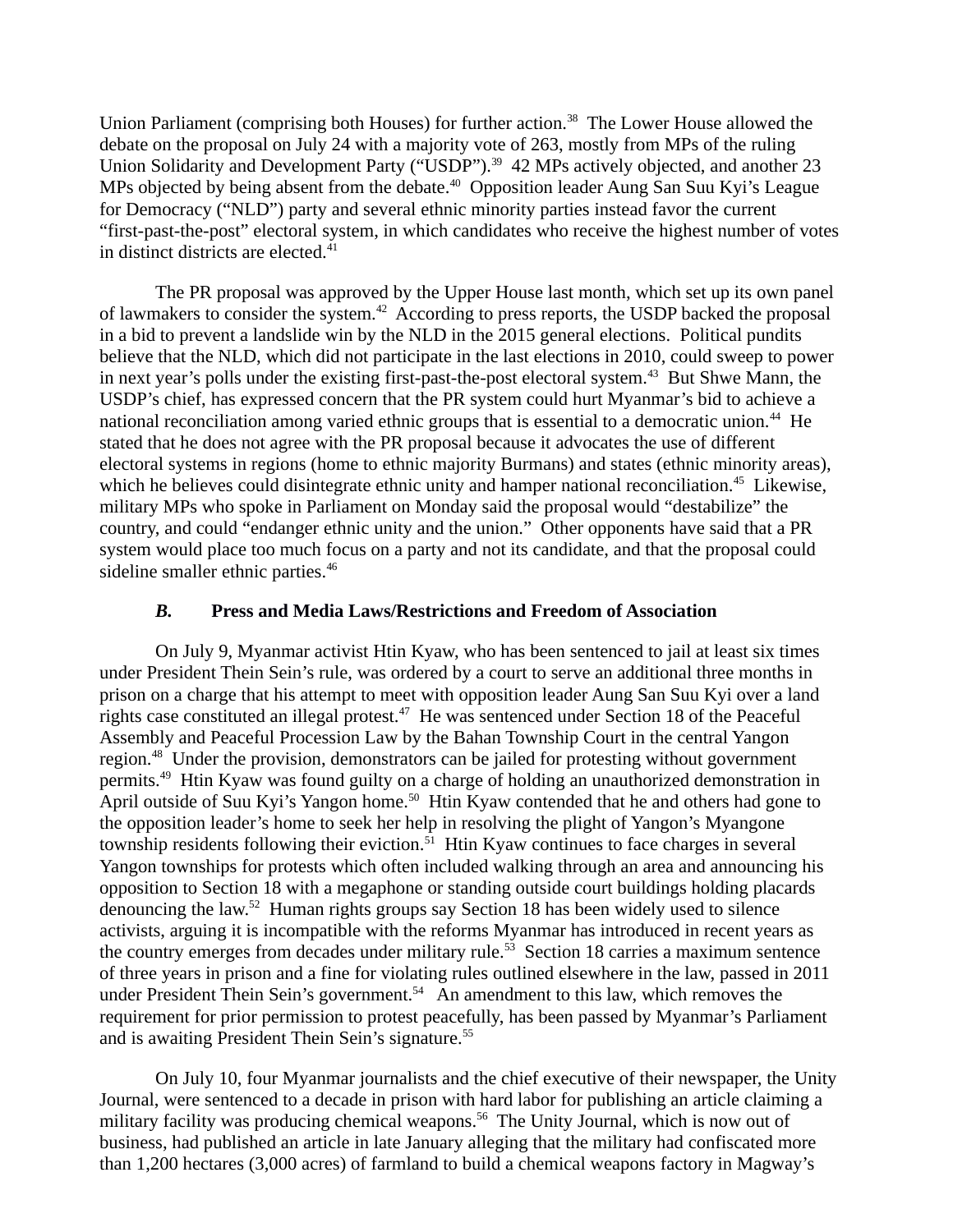Union Parliament (comprising both Houses) for further action.<sup>38</sup> The Lower House allowed the debate on the proposal on July 24 with a majority vote of 263, mostly from MPs of the ruling Union Solidarity and Development Party ("USDP").<sup>39</sup> 42 MPs actively objected, and another 23 MPs objected by being absent from the debate.<sup>40</sup> Opposition leader Aung San Suu Kyi's League for Democracy ("NLD") party and several ethnic minority parties instead favor the current "first-past-the-post" electoral system, in which candidates who receive the highest number of votes in distinct districts are elected.<sup>41</sup>

The PR proposal was approved by the Upper House last month, which set up its own panel of lawmakers to consider the system.<sup>42</sup> According to press reports, the USDP backed the proposal in a bid to prevent a landslide win by the NLD in the 2015 general elections. Political pundits believe that the NLD, which did not participate in the last elections in 2010, could sweep to power in next year's polls under the existing first-past-the-post electoral system.<sup>43</sup> But Shwe Mann, the USDP's chief, has expressed concern that the PR system could hurt Myanmar's bid to achieve a national reconciliation among varied ethnic groups that is essential to a democratic union.<sup>44</sup> He stated that he does not agree with the PR proposal because it advocates the use of different electoral systems in regions (home to ethnic majority Burmans) and states (ethnic minority areas), which he believes could disintegrate ethnic unity and hamper national reconciliation.<sup>45</sup> Likewise, military MPs who spoke in Parliament on Monday said the proposal would "destabilize" the country, and could "endanger ethnic unity and the union." Other opponents have said that a PR system would place too much focus on a party and not its candidate, and that the proposal could sideline smaller ethnic parties.<sup>46</sup>

### *B.* **Press and Media Laws/Restrictions and Freedom of Association**

On July 9, Myanmar activist Htin Kyaw, who has been sentenced to jail at least six times under President Thein Sein's rule, was ordered by a court to serve an additional three months in prison on a charge that his attempt to meet with opposition leader Aung San Suu Kyi over a land rights case constituted an illegal protest.<sup>47</sup> He was sentenced under Section 18 of the Peaceful Assembly and Peaceful Procession Law by the Bahan Township Court in the central Yangon region.<sup>48</sup> Under the provision, demonstrators can be jailed for protesting without government permits.<sup>49</sup> Htin Kyaw was found guilty on a charge of holding an unauthorized demonstration in April outside of Suu Kyi's Yangon home.<sup>50</sup> Htin Kyaw contended that he and others had gone to the opposition leader's home to seek her help in resolving the plight of Yangon's Myangone township residents following their eviction.<sup>51</sup> Htin Kyaw continues to face charges in several Yangon townships for protests which often included walking through an area and announcing his opposition to Section 18 with a megaphone or standing outside court buildings holding placards denouncing the law.<sup>52</sup> Human rights groups say Section 18 has been widely used to silence activists, arguing it is incompatible with the reforms Myanmar has introduced in recent years as the country emerges from decades under military rule.<sup>53</sup> Section 18 carries a maximum sentence of three years in prison and a fine for violating rules outlined elsewhere in the law, passed in 2011 under President Thein Sein's government.<sup>54</sup> An amendment to this law, which removes the requirement for prior permission to protest peacefully, has been passed by Myanmar's Parliament and is awaiting President Thein Sein's signature.<sup>55</sup>

On July 10, four Myanmar journalists and the chief executive of their newspaper, the Unity Journal, were sentenced to a decade in prison with hard labor for publishing an article claiming a military facility was producing chemical weapons.<sup>56</sup> The Unity Journal, which is now out of business, had published an article in late January alleging that the military had confiscated more than 1,200 hectares (3,000 acres) of farmland to build a chemical weapons factory in Magway's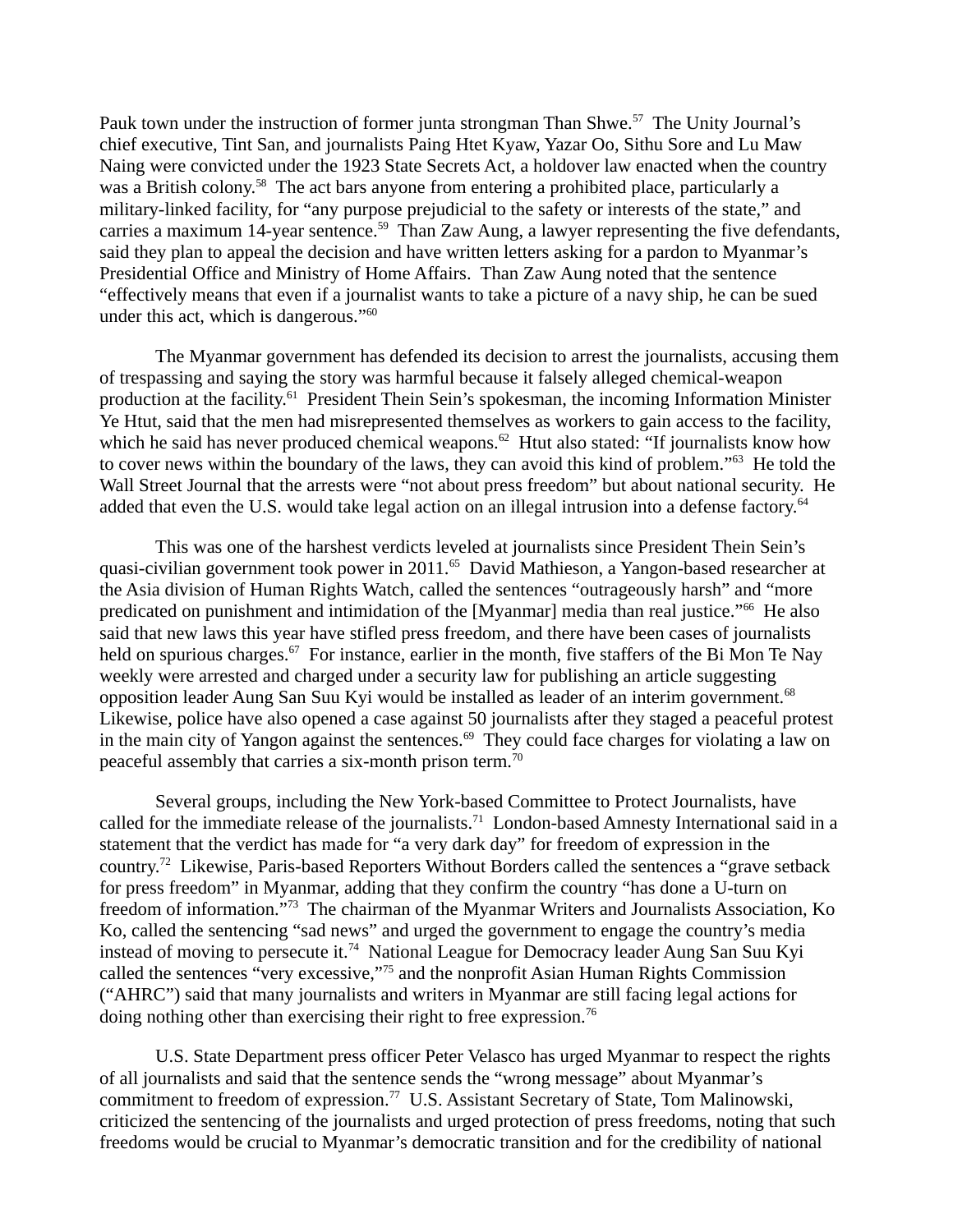Pauk town under the instruction of former junta strongman Than Shwe.<sup>57</sup> The Unity Journal's chief executive, Tint San, and journalists Paing Htet Kyaw, Yazar Oo, Sithu Sore and Lu Maw Naing were convicted under the 1923 State Secrets Act, a holdover law enacted when the country was a British colony.<sup>58</sup> The act bars anyone from entering a prohibited place, particularly a military-linked facility, for "any purpose prejudicial to the safety or interests of the state," and carries a maximum 14-year sentence.<sup>59</sup> Than Zaw Aung, a lawyer representing the five defendants, said they plan to appeal the decision and have written letters asking for a pardon to Myanmar's Presidential Office and Ministry of Home Affairs. Than Zaw Aung noted that the sentence "effectively means that even if a journalist wants to take a picture of a navy ship, he can be sued under this act, which is dangerous."<sup>60</sup>

The Myanmar government has defended its decision to arrest the journalists, accusing them of trespassing and saying the story was harmful because it falsely alleged chemical-weapon production at the facility.<sup>61</sup> President Thein Sein's spokesman, the incoming Information Minister Ye Htut, said that the men had misrepresented themselves as workers to gain access to the facility, which he said has never produced chemical weapons.<sup>62</sup> Htut also stated: "If journalists know how to cover news within the boundary of the laws, they can avoid this kind of problem."<sup>63</sup> He told the Wall Street Journal that the arrests were "not about press freedom" but about national security. He added that even the U.S. would take legal action on an illegal intrusion into a defense factory. $64$ 

This was one of the harshest verdicts leveled at journalists since President Thein Sein's quasi-civilian government took power in 2011.<sup>65</sup> David Mathieson, a Yangon-based researcher at the Asia division of Human Rights Watch, called the sentences "outrageously harsh" and "more predicated on punishment and intimidation of the [Myanmar] media than real justice."<sup>66</sup> He also said that new laws this year have stifled press freedom, and there have been cases of journalists held on spurious charges.<sup>67</sup> For instance, earlier in the month, five staffers of the Bi Mon Te Nay weekly were arrested and charged under a security law for publishing an article suggesting opposition leader Aung San Suu Kyi would be installed as leader of an interim government.<sup>68</sup> Likewise, police have also opened a case against 50 journalists after they staged a peaceful protest in the main city of Yangon against the sentences.<sup>69</sup> They could face charges for violating a law on peaceful assembly that carries a six-month prison term.<sup>70</sup>

Several groups, including the New York-based Committee to Protect Journalists, have called for the immediate release of the journalists.<sup>71</sup> London-based Amnesty International said in a statement that the verdict has made for "a very dark day" for freedom of expression in the country.<sup>72</sup> Likewise, Paris-based Reporters Without Borders called the sentences a "grave setback for press freedom" in Myanmar, adding that they confirm the country "has done a U-turn on freedom of information."<sup>73</sup> The chairman of the Myanmar Writers and Journalists Association, Ko Ko, called the sentencing "sad news" and urged the government to engage the country's media instead of moving to persecute it.<sup>74</sup> National League for Democracy leader Aung San Suu Kyi called the sentences "very excessive,"<sup>75</sup> and the nonprofit Asian Human Rights Commission ("AHRC") said that many journalists and writers in Myanmar are still facing legal actions for doing nothing other than exercising their right to free expression.<sup>76</sup>

U.S. State Department press officer Peter Velasco has urged Myanmar to respect the rights of all journalists and said that the sentence sends the "wrong message" about Myanmar's commitment to freedom of expression.<sup>77</sup> U.S. Assistant Secretary of State, Tom Malinowski, criticized the sentencing of the journalists and urged protection of press freedoms, noting that such freedoms would be crucial to Myanmar's democratic transition and for the credibility of national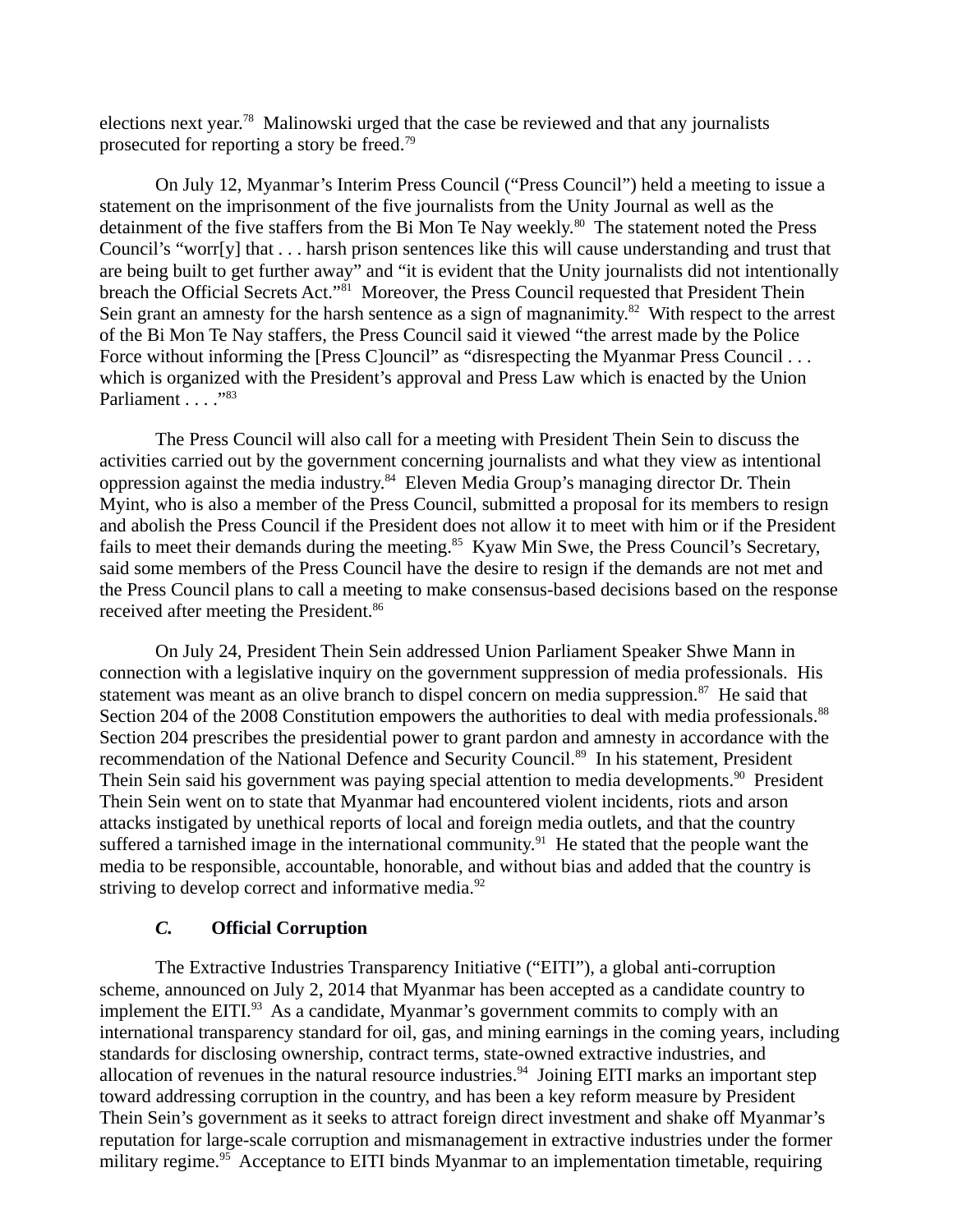elections next year.<sup>78</sup> Malinowski urged that the case be reviewed and that any journalists prosecuted for reporting a story be freed.<sup>79</sup>

On July 12, Myanmar's Interim Press Council ("Press Council") held a meeting to issue a statement on the imprisonment of the five journalists from the Unity Journal as well as the detainment of the five staffers from the Bi Mon Te Nay weekly.<sup>80</sup> The statement noted the Press Council's "worr[y] that . . . harsh prison sentences like this will cause understanding and trust that are being built to get further away" and "it is evident that the Unity journalists did not intentionally breach the Official Secrets Act."<sup>81</sup> Moreover, the Press Council requested that President Thein Sein grant an amnesty for the harsh sentence as a sign of magnanimity. $82$  With respect to the arrest of the Bi Mon Te Nay staffers, the Press Council said it viewed "the arrest made by the Police Force without informing the [Press C]ouncil" as "disrespecting the Myanmar Press Council . . . which is organized with the President's approval and Press Law which is enacted by the Union Parliament . . . . "83

The Press Council will also call for a meeting with President Thein Sein to discuss the activities carried out by the government concerning journalists and what they view as intentional oppression against the media industry.<sup>84</sup> Eleven Media Group's managing director Dr. Thein Myint, who is also a member of the Press Council, submitted a proposal for its members to resign and abolish the Press Council if the President does not allow it to meet with him or if the President fails to meet their demands during the meeting.<sup>85</sup> Kyaw Min Swe, the Press Council's Secretary, said some members of the Press Council have the desire to resign if the demands are not met and the Press Council plans to call a meeting to make consensus-based decisions based on the response received after meeting the President.<sup>86</sup>

On July 24, President Thein Sein addressed Union Parliament Speaker Shwe Mann in connection with a legislative inquiry on the government suppression of media professionals. His statement was meant as an olive branch to dispel concern on media suppression.<sup>87</sup> He said that Section 204 of the 2008 Constitution empowers the authorities to deal with media professionals.<sup>88</sup> Section 204 prescribes the presidential power to grant pardon and amnesty in accordance with the recommendation of the National Defence and Security Council.<sup>89</sup> In his statement, President Thein Sein said his government was paying special attention to media developments.<sup>90</sup> President Thein Sein went on to state that Myanmar had encountered violent incidents, riots and arson attacks instigated by unethical reports of local and foreign media outlets, and that the country suffered a tarnished image in the international community.<sup>91</sup> He stated that the people want the media to be responsible, accountable, honorable, and without bias and added that the country is striving to develop correct and informative media.<sup>92</sup>

## *C.* **Official Corruption**

The Extractive Industries Transparency Initiative ("EITI"), a global anti-corruption scheme, announced on July 2, 2014 that Myanmar has been accepted as a candidate country to implement the EITI.<sup>93</sup> As a candidate, Myanmar's government commits to comply with an international transparency standard for oil, gas, and mining earnings in the coming years, including standards for disclosing ownership, contract terms, state-owned extractive industries, and allocation of revenues in the natural resource industries.<sup>94</sup> Joining EITI marks an important step toward addressing corruption in the country, and has been a key reform measure by President Thein Sein's government as it seeks to attract foreign direct investment and shake off Myanmar's reputation for large-scale corruption and mismanagement in extractive industries under the former military regime.<sup>95</sup> Acceptance to EITI binds Myanmar to an implementation timetable, requiring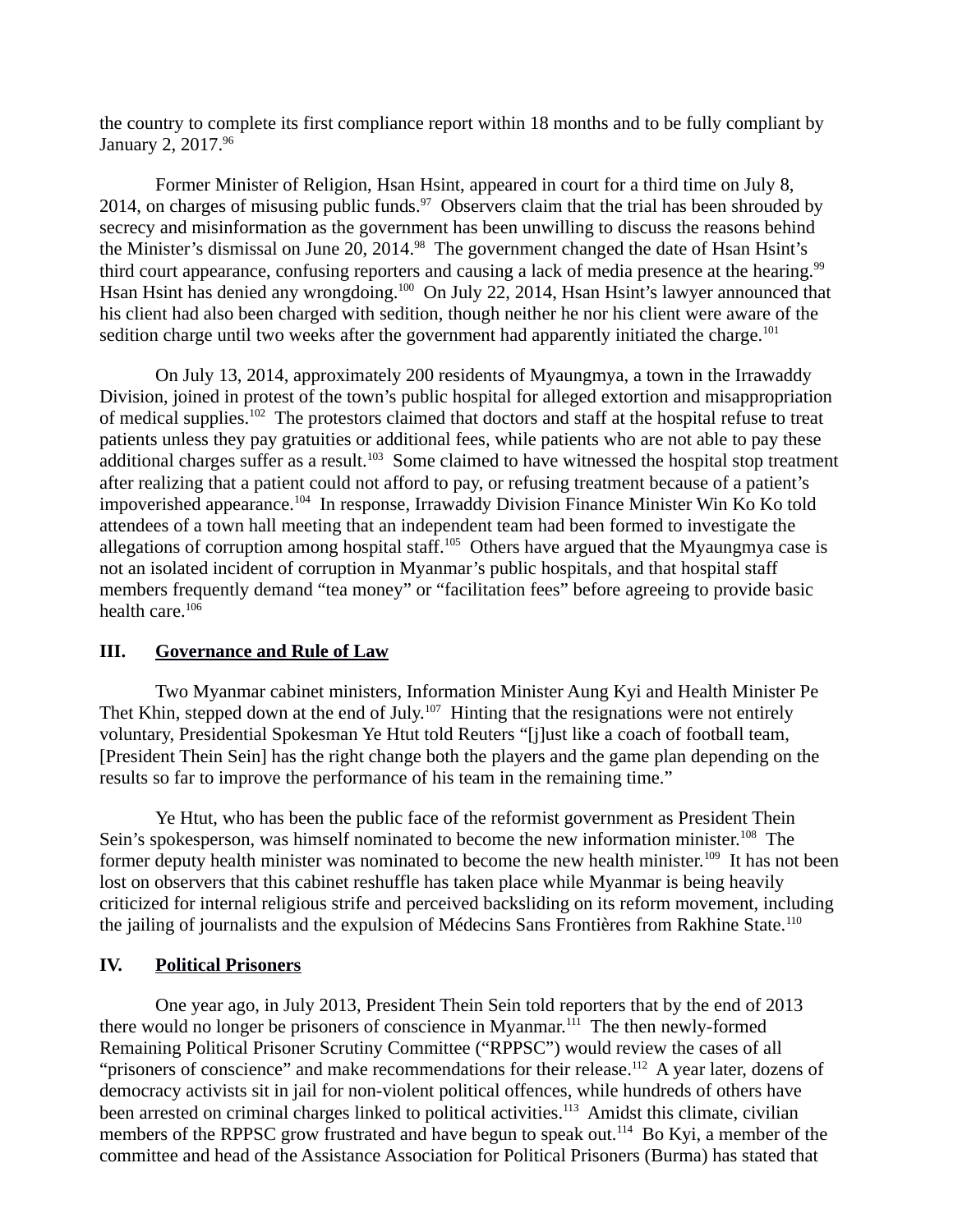the country to complete its first compliance report within 18 months and to be fully compliant by January 2, 2017.<sup>96</sup>

Former Minister of Religion, Hsan Hsint, appeared in court for a third time on July 8, 2014, on charges of misusing public funds.<sup>97</sup> Observers claim that the trial has been shrouded by secrecy and misinformation as the government has been unwilling to discuss the reasons behind the Minister's dismissal on June 20, 2014. $98$  The government changed the date of Hsan Hsint's third court appearance, confusing reporters and causing a lack of media presence at the hearing.<sup>99</sup> Hsan Hsint has denied any wrongdoing.<sup>100</sup> On July 22, 2014, Hsan Hsint's lawyer announced that his client had also been charged with sedition, though neither he nor his client were aware of the sedition charge until two weeks after the government had apparently initiated the charge.<sup>101</sup>

On July 13, 2014, approximately 200 residents of Myaungmya, a town in the Irrawaddy Division, joined in protest of the town's public hospital for alleged extortion and misappropriation of medical supplies.<sup>102</sup> The protestors claimed that doctors and staff at the hospital refuse to treat patients unless they pay gratuities or additional fees, while patients who are not able to pay these additional charges suffer as a result.<sup>103</sup> Some claimed to have witnessed the hospital stop treatment after realizing that a patient could not afford to pay, or refusing treatment because of a patient's impoverished appearance.<sup>104</sup> In response, Irrawaddy Division Finance Minister Win Ko Ko told attendees of a town hall meeting that an independent team had been formed to investigate the allegations of corruption among hospital staff.<sup>105</sup> Others have argued that the Myaungmya case is not an isolated incident of corruption in Myanmar's public hospitals, and that hospital staff members frequently demand "tea money" or "facilitation fees" before agreeing to provide basic health care.<sup>106</sup>

# **III. Governance and Rule of Law**

Two Myanmar cabinet ministers, Information Minister Aung Kyi and Health Minister Pe Thet Khin, stepped down at the end of July.<sup>107</sup> Hinting that the resignations were not entirely voluntary, Presidential Spokesman Ye Htut told Reuters "[j]ust like a coach of football team, [President Thein Sein] has the right change both the players and the game plan depending on the results so far to improve the performance of his team in the remaining time."

Ye Htut, who has been the public face of the reformist government as President Thein Sein's spokesperson, was himself nominated to become the new information minister.<sup>108</sup> The former deputy health minister was nominated to become the new health minister.<sup>109</sup> It has not been lost on observers that this cabinet reshuffle has taken place while Myanmar is being heavily criticized for internal religious strife and perceived backsliding on its reform movement, including the jailing of journalists and the expulsion of Médecins Sans Frontières from Rakhine State.<sup>110</sup>

# **IV. Political Prisoners**

One year ago, in July 2013, President Thein Sein told reporters that by the end of 2013 there would no longer be prisoners of conscience in Myanmar.<sup>111</sup> The then newly-formed Remaining Political Prisoner Scrutiny Committee ("RPPSC") would review the cases of all "prisoners of conscience" and make recommendations for their release.<sup>112</sup> A year later, dozens of democracy activists sit in jail for non-violent political offences, while hundreds of others have been arrested on criminal charges linked to political activities.<sup>113</sup> Amidst this climate, civilian members of the RPPSC grow frustrated and have begun to speak out.<sup>114</sup> Bo Kyi, a member of the committee and head of the Assistance Association for Political Prisoners (Burma) has stated that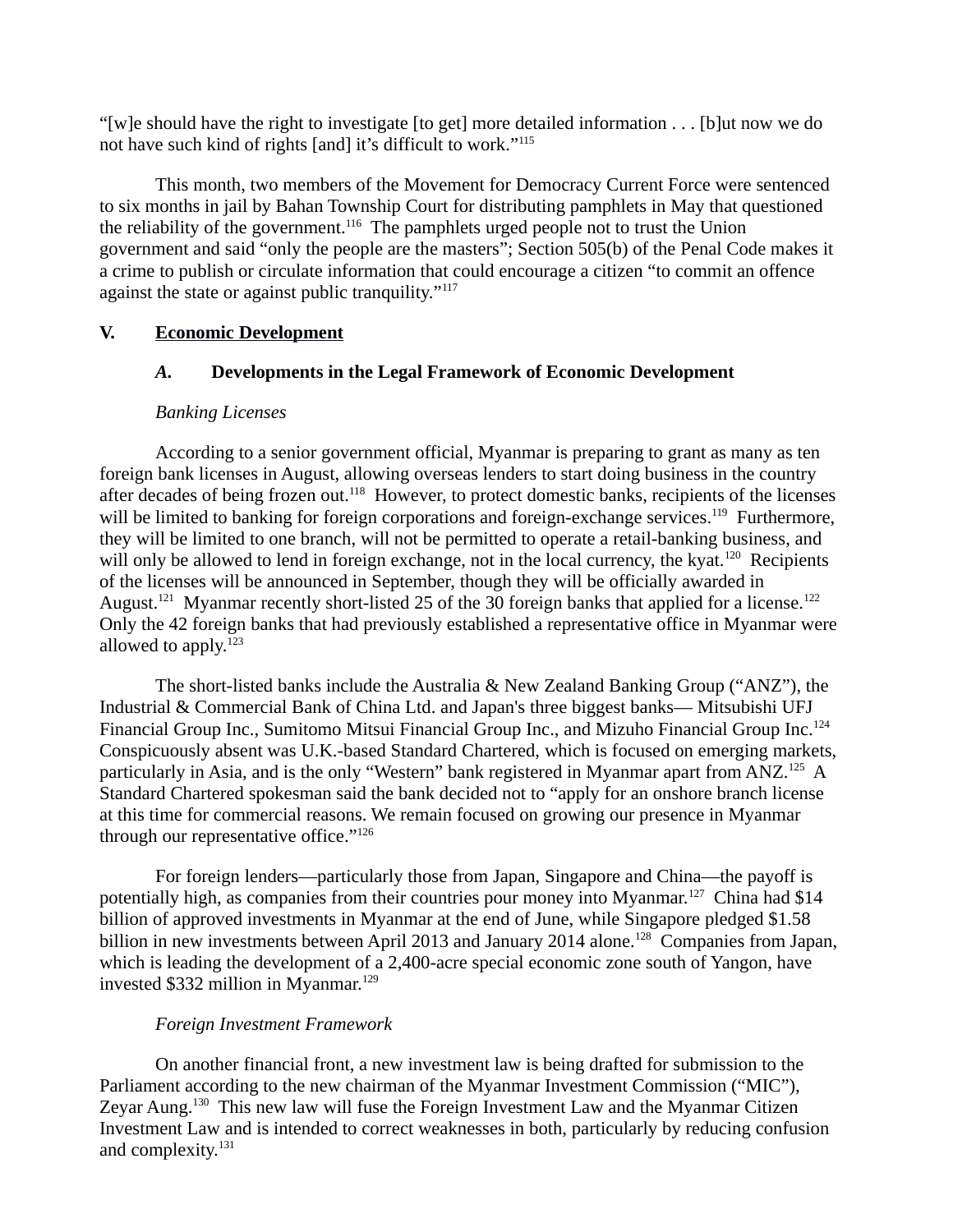"[w]e should have the right to investigate [to get] more detailed information . . . [b]ut now we do not have such kind of rights [and] it's difficult to work."<sup>115</sup>

This month, two members of the Movement for Democracy Current Force were sentenced to six months in jail by Bahan Township Court for distributing pamphlets in May that questioned the reliability of the government.<sup>116</sup> The pamphlets urged people not to trust the Union government and said "only the people are the masters"; Section 505(b) of the Penal Code makes it a crime to publish or circulate information that could encourage a citizen "to commit an offence against the state or against public tranquility."<sup>117</sup>

# **V. Economic Development**

# *A.* **Developments in the Legal Framework of Economic Development**

## *Banking Licenses*

According to a senior government official, Myanmar is preparing to grant as many as ten foreign bank licenses in August, allowing overseas lenders to start doing business in the country after decades of being frozen out.<sup>118</sup> However, to protect domestic banks, recipients of the licenses will be limited to banking for foreign corporations and foreign-exchange services.<sup>119</sup> Furthermore, they will be limited to one branch, will not be permitted to operate a retail-banking business, and will only be allowed to lend in foreign exchange, not in the local currency, the kyat.<sup>120</sup> Recipients of the licenses will be announced in September, though they will be officially awarded in August.<sup>121</sup> Myanmar recently short-listed 25 of the 30 foreign banks that applied for a license.<sup>122</sup> Only the 42 foreign banks that had previously established a representative office in Myanmar were allowed to apply. $123$ 

The short-listed banks include the Australia & New Zealand Banking Group ("ANZ"), the Industrial & Commercial Bank of China Ltd. and Japan's three biggest banks— Mitsubishi UFJ Financial Group Inc., Sumitomo Mitsui Financial Group Inc., and Mizuho Financial Group Inc.<sup>124</sup> Conspicuously absent was U.K.-based Standard Chartered, which is focused on emerging markets, particularly in Asia, and is the only "Western" bank registered in Myanmar apart from ANZ.<sup>125</sup> A Standard Chartered spokesman said the bank decided not to "apply for an onshore branch license at this time for commercial reasons. We remain focused on growing our presence in Myanmar through our representative office."<sup>126</sup>

For foreign lenders—particularly those from Japan, Singapore and China—the payoff is potentially high, as companies from their countries pour money into Myanmar.<sup>127</sup> China had \$14 billion of approved investments in Myanmar at the end of June, while Singapore pledged \$1.58 billion in new investments between April 2013 and January 2014 alone.<sup>128</sup> Companies from Japan, which is leading the development of a 2,400-acre special economic zone south of Yangon, have invested \$332 million in Myanmar.<sup>129</sup>

## *Foreign Investment Framework*

On another financial front, a new investment law is being drafted for submission to the Parliament according to the new chairman of the Myanmar Investment Commission ("MIC"), Zeyar Aung.<sup>130</sup> This new law will fuse the Foreign Investment Law and the Myanmar Citizen Investment Law and is intended to correct weaknesses in both, particularly by reducing confusion and complexity.<sup>131</sup>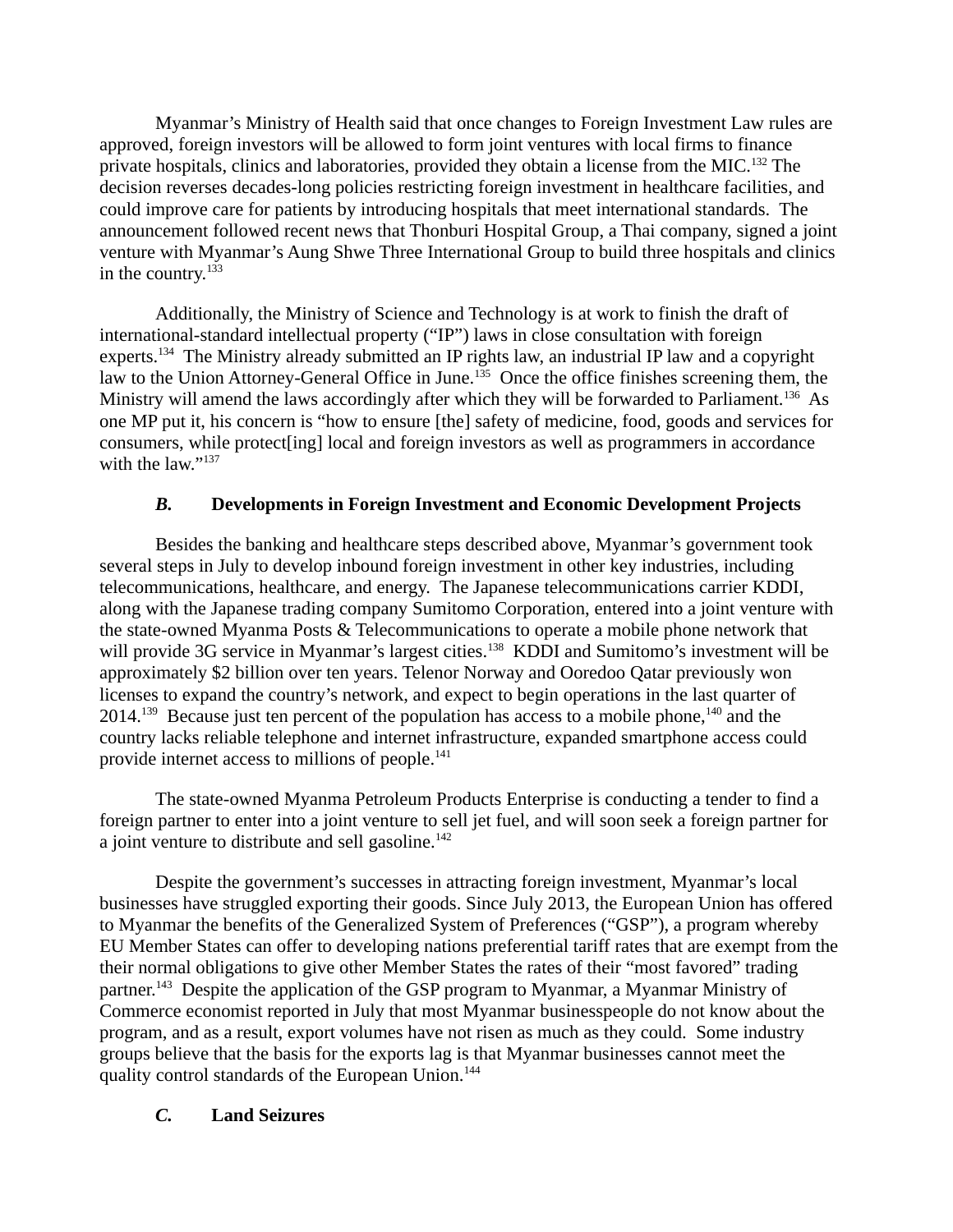Myanmar's Ministry of Health said that once changes to Foreign Investment Law rules are approved, foreign investors will be allowed to form joint ventures with local firms to finance private hospitals, clinics and laboratories, provided they obtain a license from the MIC.<sup>132</sup> The decision reverses decades-long policies restricting foreign investment in healthcare facilities, and could improve care for patients by introducing hospitals that meet international standards. The announcement followed recent news that Thonburi Hospital Group, a Thai company, signed a joint venture with Myanmar's Aung Shwe Three International Group to build three hospitals and clinics in the country.<sup>133</sup>

Additionally, the Ministry of Science and Technology is at work to finish the draft of international-standard intellectual property ("IP") laws in close consultation with foreign experts.<sup>134</sup> The Ministry already submitted an IP rights law, an industrial IP law and a copyright law to the Union Attorney-General Office in June.<sup>135</sup> Once the office finishes screening them, the Ministry will amend the laws accordingly after which they will be forwarded to Parliament.<sup>136</sup> As one MP put it, his concern is "how to ensure [the] safety of medicine, food, goods and services for consumers, while protect[ing] local and foreign investors as well as programmers in accordance with the law."<sup>137</sup>

# *B.* **Developments in Foreign Investment and Economic Development Projects**

Besides the banking and healthcare steps described above, Myanmar's government took several steps in July to develop inbound foreign investment in other key industries, including telecommunications, healthcare, and energy. The Japanese telecommunications carrier KDDI, along with the Japanese trading company Sumitomo Corporation, entered into a joint venture with the state-owned Myanma Posts & Telecommunications to operate a mobile phone network that will provide 3G service in Myanmar's largest cities.<sup>138</sup> KDDI and Sumitomo's investment will be approximately \$2 billion over ten years. Telenor Norway and Ooredoo Qatar previously won licenses to expand the country's network, and expect to begin operations in the last quarter of  $2014.<sup>139</sup>$  Because just ten percent of the population has access to a mobile phone,<sup>140</sup> and the country lacks reliable telephone and internet infrastructure, expanded smartphone access could provide internet access to millions of people.<sup>141</sup>

The state-owned Myanma Petroleum Products Enterprise is conducting a tender to find a foreign partner to enter into a joint venture to sell jet fuel, and will soon seek a foreign partner for a joint venture to distribute and sell gasoline.<sup>142</sup>

Despite the government's successes in attracting foreign investment, Myanmar's local businesses have struggled exporting their goods. Since July 2013, the European Union has offered to Myanmar the benefits of the Generalized System of Preferences ("GSP"), a program whereby EU Member States can offer to developing nations preferential tariff rates that are exempt from the their normal obligations to give other Member States the rates of their "most favored" trading partner.<sup>143</sup> Despite the application of the GSP program to Myanmar, a Myanmar Ministry of Commerce economist reported in July that most Myanmar businesspeople do not know about the program, and as a result, export volumes have not risen as much as they could. Some industry groups believe that the basis for the exports lag is that Myanmar businesses cannot meet the quality control standards of the European Union.<sup>144</sup>

# *C.* **Land Seizures**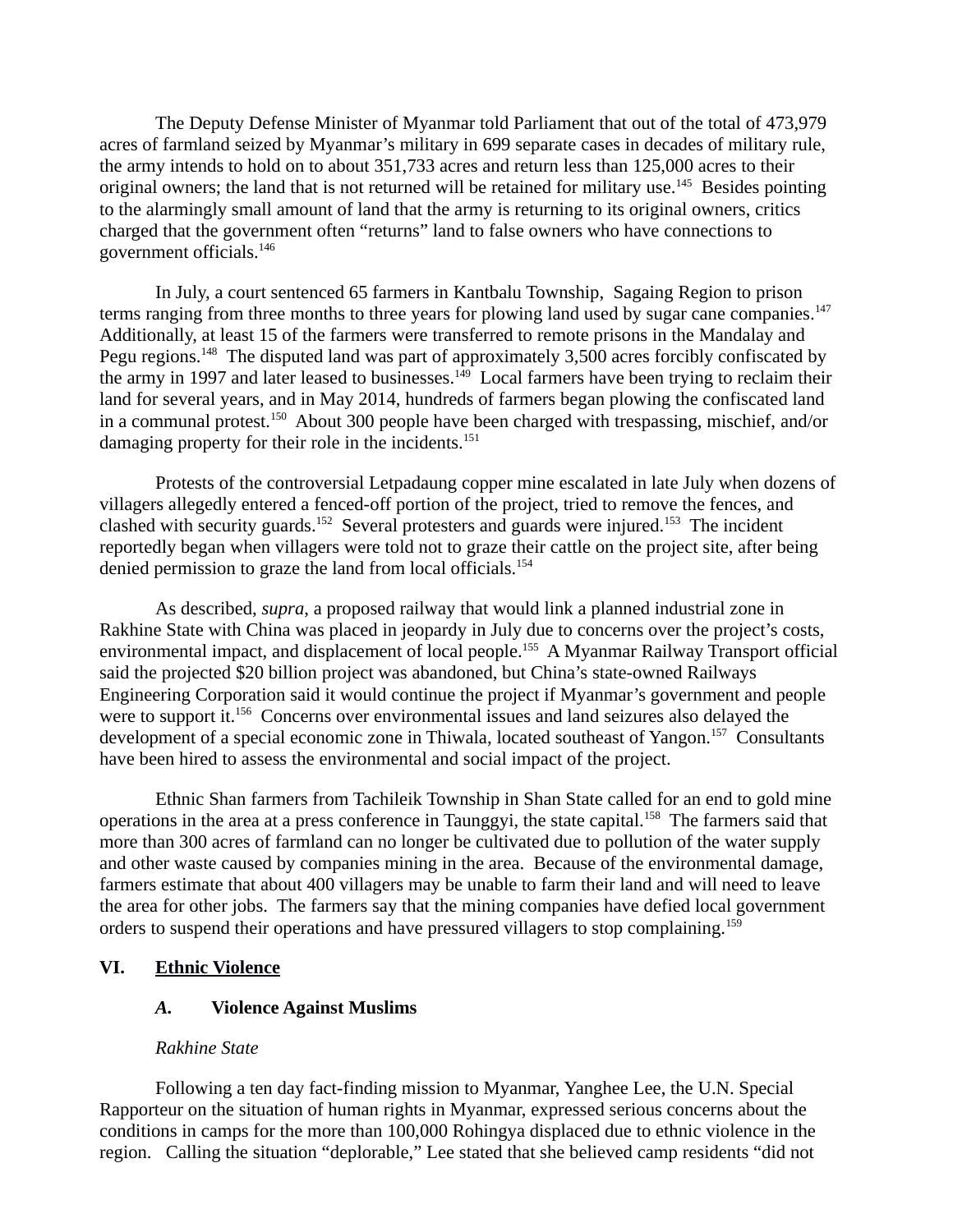The Deputy Defense Minister of Myanmar told Parliament that out of the total of 473,979 acres of farmland seized by Myanmar's military in 699 separate cases in decades of military rule, the army intends to hold on to about 351,733 acres and return less than 125,000 acres to their original owners; the land that is not returned will be retained for military use.<sup>145</sup> Besides pointing to the alarmingly small amount of land that the army is returning to its original owners, critics charged that the government often "returns" land to false owners who have connections to government officials.<sup>146</sup>

In July, a court sentenced 65 farmers in Kantbalu Township, Sagaing Region to prison terms ranging from three months to three years for plowing land used by sugar cane companies.<sup>147</sup> Additionally, at least 15 of the farmers were transferred to remote prisons in the Mandalay and Pegu regions.<sup>148</sup> The disputed land was part of approximately 3,500 acres forcibly confiscated by the army in 1997 and later leased to businesses. $149$  Local farmers have been trying to reclaim their land for several years, and in May 2014, hundreds of farmers began plowing the confiscated land in a communal protest.<sup>150</sup> About 300 people have been charged with trespassing, mischief, and/or damaging property for their role in the incidents.<sup>151</sup>

Protests of the controversial Letpadaung copper mine escalated in late July when dozens of villagers allegedly entered a fenced-off portion of the project, tried to remove the fences, and clashed with security guards.<sup>152</sup> Several protesters and guards were injured.<sup>153</sup> The incident reportedly began when villagers were told not to graze their cattle on the project site, after being denied permission to graze the land from local officials.<sup>154</sup>

As described, *supra*, a proposed railway that would link a planned industrial zone in Rakhine State with China was placed in jeopardy in July due to concerns over the project's costs, environmental impact, and displacement of local people.<sup>155</sup> A Myanmar Railway Transport official said the projected \$20 billion project was abandoned, but China's state-owned Railways Engineering Corporation said it would continue the project if Myanmar's government and people were to support it.<sup>156</sup> Concerns over environmental issues and land seizures also delayed the development of a special economic zone in Thiwala, located southeast of Yangon.<sup>157</sup> Consultants have been hired to assess the environmental and social impact of the project.

Ethnic Shan farmers from Tachileik Township in Shan State called for an end to gold mine operations in the area at a press conference in Taunggyi, the state capital.<sup>158</sup> The farmers said that more than 300 acres of farmland can no longer be cultivated due to pollution of the water supply and other waste caused by companies mining in the area. Because of the environmental damage, farmers estimate that about 400 villagers may be unable to farm their land and will need to leave the area for other jobs. The farmers say that the mining companies have defied local government orders to suspend their operations and have pressured villagers to stop complaining.<sup>159</sup>

## **VI. Ethnic Violence**

## *A.* **Violence Against Muslims**

### *Rakhine State*

Following a ten day fact-finding mission to Myanmar, Yanghee Lee, the U.N. Special Rapporteur on the situation of human rights in Myanmar, expressed serious concerns about the conditions in camps for the more than 100,000 Rohingya displaced due to ethnic violence in the region. Calling the situation "deplorable," Lee stated that she believed camp residents "did not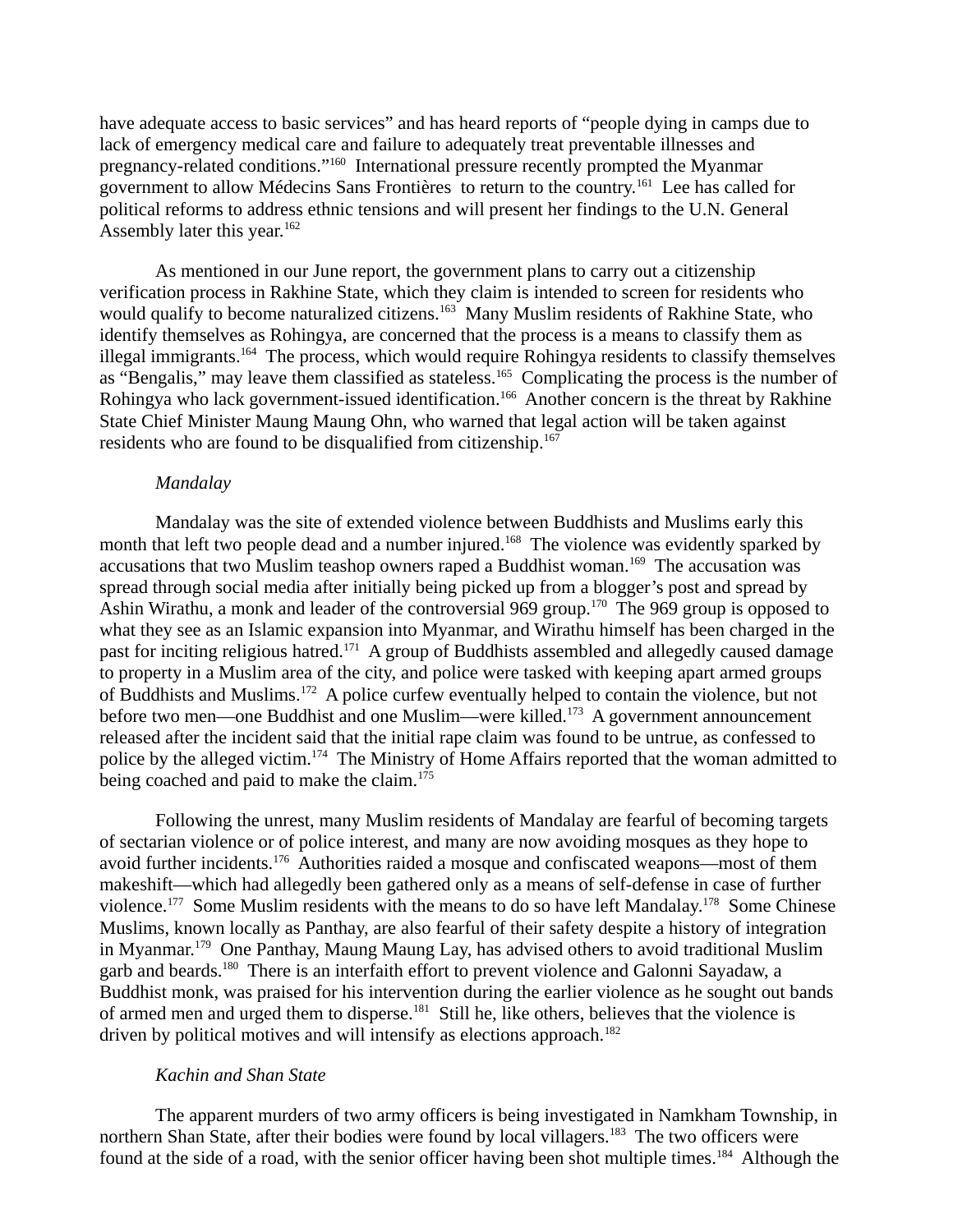have adequate access to basic services" and has heard reports of "people dying in camps due to lack of emergency medical care and failure to adequately treat preventable illnesses and pregnancy-related conditions."<sup>160</sup> International pressure recently prompted the Myanmar government to allow Médecins Sans Frontières to return to the country.<sup>161</sup> Lee has called for political reforms to address ethnic tensions and will present her findings to the U.N. General Assembly later this year. $162$ 

As mentioned in our June report, the government plans to carry out a citizenship verification process in Rakhine State, which they claim is intended to screen for residents who would qualify to become naturalized citizens.<sup>163</sup> Many Muslim residents of Rakhine State, who identify themselves as Rohingya, are concerned that the process is a means to classify them as illegal immigrants.<sup>164</sup> The process, which would require Rohingya residents to classify themselves as "Bengalis," may leave them classified as stateless.<sup>165</sup> Complicating the process is the number of Rohingya who lack government-issued identification.<sup>166</sup> Another concern is the threat by Rakhine State Chief Minister Maung Maung Ohn, who warned that legal action will be taken against residents who are found to be disqualified from citizenship.<sup>167</sup>

#### *Mandalay*

Mandalay was the site of extended violence between Buddhists and Muslims early this month that left two people dead and a number injured.<sup>168</sup> The violence was evidently sparked by accusations that two Muslim teashop owners raped a Buddhist woman.<sup>169</sup> The accusation was spread through social media after initially being picked up from a blogger's post and spread by Ashin Wirathu, a monk and leader of the controversial 969 group.<sup>170</sup> The 969 group is opposed to what they see as an Islamic expansion into Myanmar, and Wirathu himself has been charged in the past for inciting religious hatred.<sup>171</sup> A group of Buddhists assembled and allegedly caused damage to property in a Muslim area of the city, and police were tasked with keeping apart armed groups of Buddhists and Muslims.<sup>172</sup> A police curfew eventually helped to contain the violence, but not before two men—one Buddhist and one Muslim—were killed.<sup>173</sup> A government announcement released after the incident said that the initial rape claim was found to be untrue, as confessed to police by the alleged victim.<sup>174</sup> The Ministry of Home Affairs reported that the woman admitted to being coached and paid to make the claim.<sup>175</sup>

Following the unrest, many Muslim residents of Mandalay are fearful of becoming targets of sectarian violence or of police interest, and many are now avoiding mosques as they hope to avoid further incidents.<sup>176</sup> Authorities raided a mosque and confiscated weapons—most of them makeshift—which had allegedly been gathered only as a means of self-defense in case of further violence.<sup>177</sup> Some Muslim residents with the means to do so have left Mandalay.<sup>178</sup> Some Chinese Muslims, known locally as Panthay, are also fearful of their safety despite a history of integration in Myanmar.<sup>179</sup> One Panthay, Maung Maung Lay, has advised others to avoid traditional Muslim garb and beards.<sup>180</sup> There is an interfaith effort to prevent violence and Galonni Sayadaw, a Buddhist monk, was praised for his intervention during the earlier violence as he sought out bands of armed men and urged them to disperse.<sup>181</sup> Still he, like others, believes that the violence is driven by political motives and will intensify as elections approach.<sup>182</sup>

### *Kachin and Shan State*

The apparent murders of two army officers is being investigated in Namkham Township, in northern Shan State, after their bodies were found by local villagers.<sup>183</sup> The two officers were found at the side of a road, with the senior officer having been shot multiple times.<sup>184</sup> Although the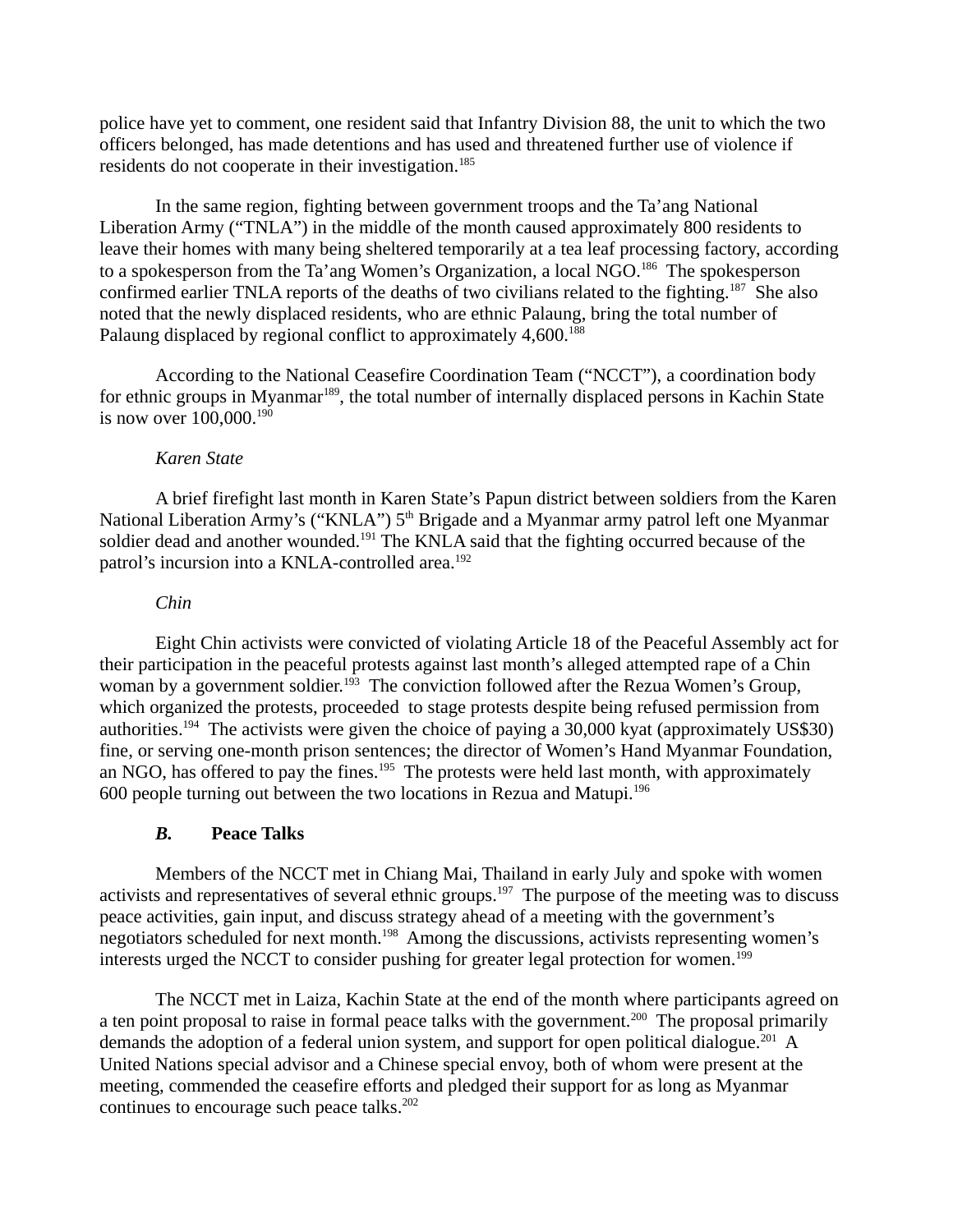police have yet to comment, one resident said that Infantry Division 88, the unit to which the two officers belonged, has made detentions and has used and threatened further use of violence if residents do not cooperate in their investigation.<sup>185</sup>

In the same region, fighting between government troops and the Ta'ang National Liberation Army ("TNLA") in the middle of the month caused approximately 800 residents to leave their homes with many being sheltered temporarily at a tea leaf processing factory, according to a spokesperson from the Ta'ang Women's Organization, a local NGO.<sup>186</sup> The spokesperson confirmed earlier TNLA reports of the deaths of two civilians related to the fighting.<sup>187</sup> She also noted that the newly displaced residents, who are ethnic Palaung, bring the total number of Palaung displaced by regional conflict to approximately 4,600.<sup>188</sup>

According to the National Ceasefire Coordination Team ("NCCT"), a coordination body for ethnic groups in Myanmar<sup>189</sup>, the total number of internally displaced persons in Kachin State is now over 100,000.<sup>190</sup>

### *Karen State*

A brief firefight last month in Karen State's Papun district between soldiers from the Karen National Liberation Army's ("KNLA")  $5<sup>th</sup>$  Brigade and a Myanmar army patrol left one Myanmar soldier dead and another wounded.<sup>191</sup> The KNLA said that the fighting occurred because of the patrol's incursion into a KNLA-controlled area.<sup>192</sup>

#### *Chin*

Eight Chin activists were convicted of violating Article 18 of the Peaceful Assembly act for their participation in the peaceful protests against last month's alleged attempted rape of a Chin woman by a government soldier.<sup>193</sup> The conviction followed after the Rezua Women's Group, which organized the protests, proceeded to stage protests despite being refused permission from authorities.<sup>194</sup> The activists were given the choice of paying a 30,000 kyat (approximately US\$30) fine, or serving one-month prison sentences; the director of Women's Hand Myanmar Foundation, an NGO, has offered to pay the fines.<sup>195</sup> The protests were held last month, with approximately 600 people turning out between the two locations in Rezua and Matupi.<sup>196</sup>

#### *B.* **Peace Talks**

Members of the NCCT met in Chiang Mai, Thailand in early July and spoke with women activists and representatives of several ethnic groups.<sup>197</sup> The purpose of the meeting was to discuss peace activities, gain input, and discuss strategy ahead of a meeting with the government's negotiators scheduled for next month.<sup>198</sup> Among the discussions, activists representing women's interests urged the NCCT to consider pushing for greater legal protection for women.<sup>199</sup>

The NCCT met in Laiza, Kachin State at the end of the month where participants agreed on a ten point proposal to raise in formal peace talks with the government.<sup>200</sup> The proposal primarily demands the adoption of a federal union system, and support for open political dialogue.<sup>201</sup> A United Nations special advisor and a Chinese special envoy, both of whom were present at the meeting, commended the ceasefire efforts and pledged their support for as long as Myanmar continues to encourage such peace talks.<sup>202</sup>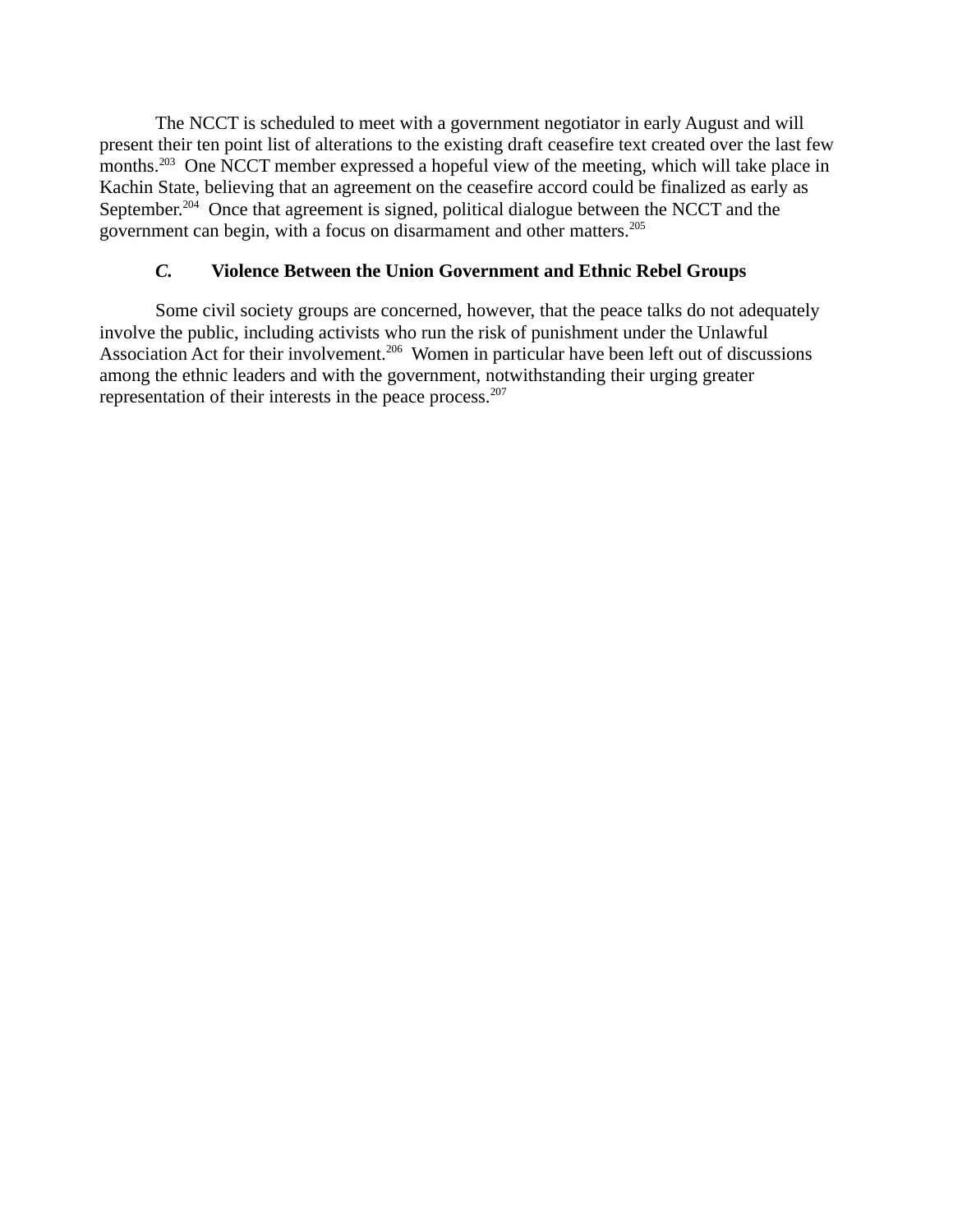The NCCT is scheduled to meet with a government negotiator in early August and will present their ten point list of alterations to the existing draft ceasefire text created over the last few months.<sup>203</sup> One NCCT member expressed a hopeful view of the meeting, which will take place in Kachin State, believing that an agreement on the ceasefire accord could be finalized as early as September.<sup>204</sup> Once that agreement is signed, political dialogue between the NCCT and the government can begin, with a focus on disarmament and other matters.<sup>205</sup>

# *C.* **Violence Between the Union Government and Ethnic Rebel Groups**

Some civil society groups are concerned, however, that the peace talks do not adequately involve the public, including activists who run the risk of punishment under the Unlawful Association Act for their involvement.<sup>206</sup> Women in particular have been left out of discussions among the ethnic leaders and with the government, notwithstanding their urging greater representation of their interests in the peace process.<sup>207</sup>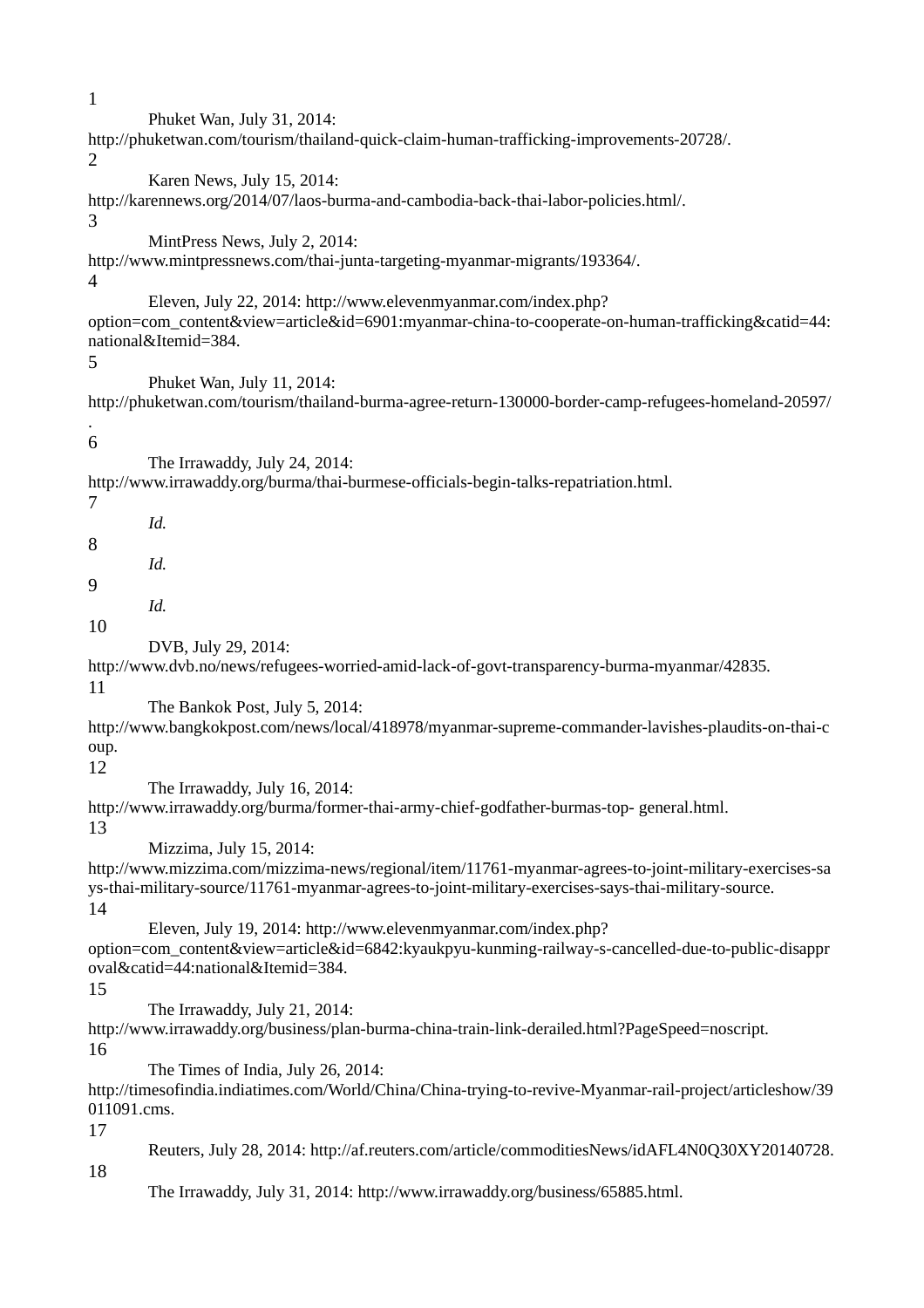Phuket Wan, July 31, 2014: http://phuketwan.com/tourism/thailand-quick-claim-human-trafficking-improvements-20728/. 2 Karen News, July 15, 2014: http://karennews.org/2014/07/laos-burma-and-cambodia-back-thai-labor-policies.html/. 3 MintPress News, July 2, 2014: http://www.mintpressnews.com/thai-junta-targeting-myanmar-migrants/193364/. 4 Eleven, July 22, 2014: http://www.elevenmyanmar.com/index.php? option=com\_content&view=article&id=6901:myanmar-china-to-cooperate-on-human-trafficking&catid=44: national&Itemid=384. 5 Phuket Wan, July 11, 2014: http://phuketwan.com/tourism/thailand-burma-agree-return-130000-border-camp-refugees-homeland-20597/ . 6 The Irrawaddy, July 24, 2014: http://www.irrawaddy.org/burma/thai-burmese-officials-begin-talks-repatriation.html. 7 *Id.* 8 *Id.* 9 *Id.* 10 DVB, July 29, 2014: http://www.dvb.no/news/refugees-worried-amid-lack-of-govt-transparency-burma-myanmar/42835. 11 The Bankok Post, July 5, 2014: http://www.bangkokpost.com/news/local/418978/myanmar-supreme-commander-lavishes-plaudits-on-thai-c oup. 12 The Irrawaddy, July 16, 2014: http://www.irrawaddy.org/burma/former-thai-army-chief-godfather-burmas-top- general.html. 13 Mizzima, July 15, 2014: http://www.mizzima.com/mizzima-news/regional/item/11761-myanmar-agrees-to-joint-military-exercises-sa ys-thai-military-source/11761-myanmar-agrees-to-joint-military-exercises-says-thai-military-source. 14 Eleven, July 19, 2014: http://www.elevenmyanmar.com/index.php? option=com\_content&view=article&id=6842:kyaukpyu-kunming-railway-s-cancelled-due-to-public-disappr oval&catid=44:national&Itemid=384. 15 The Irrawaddy, July 21, 2014: http://www.irrawaddy.org/business/plan-burma-china-train-link-derailed.html?PageSpeed=noscript. 16 The Times of India, July 26, 2014: http://timesofindia.indiatimes.com/World/China/China-trying-to-revive-Myanmar-rail-project/articleshow/39 011091.cms. 17 Reuters, July 28, 2014: http://af.reuters.com/article/commoditiesNews/idAFL4N0Q30XY20140728. 18 The Irrawaddy, July 31, 2014: http://www.irrawaddy.org/business/65885.html.

1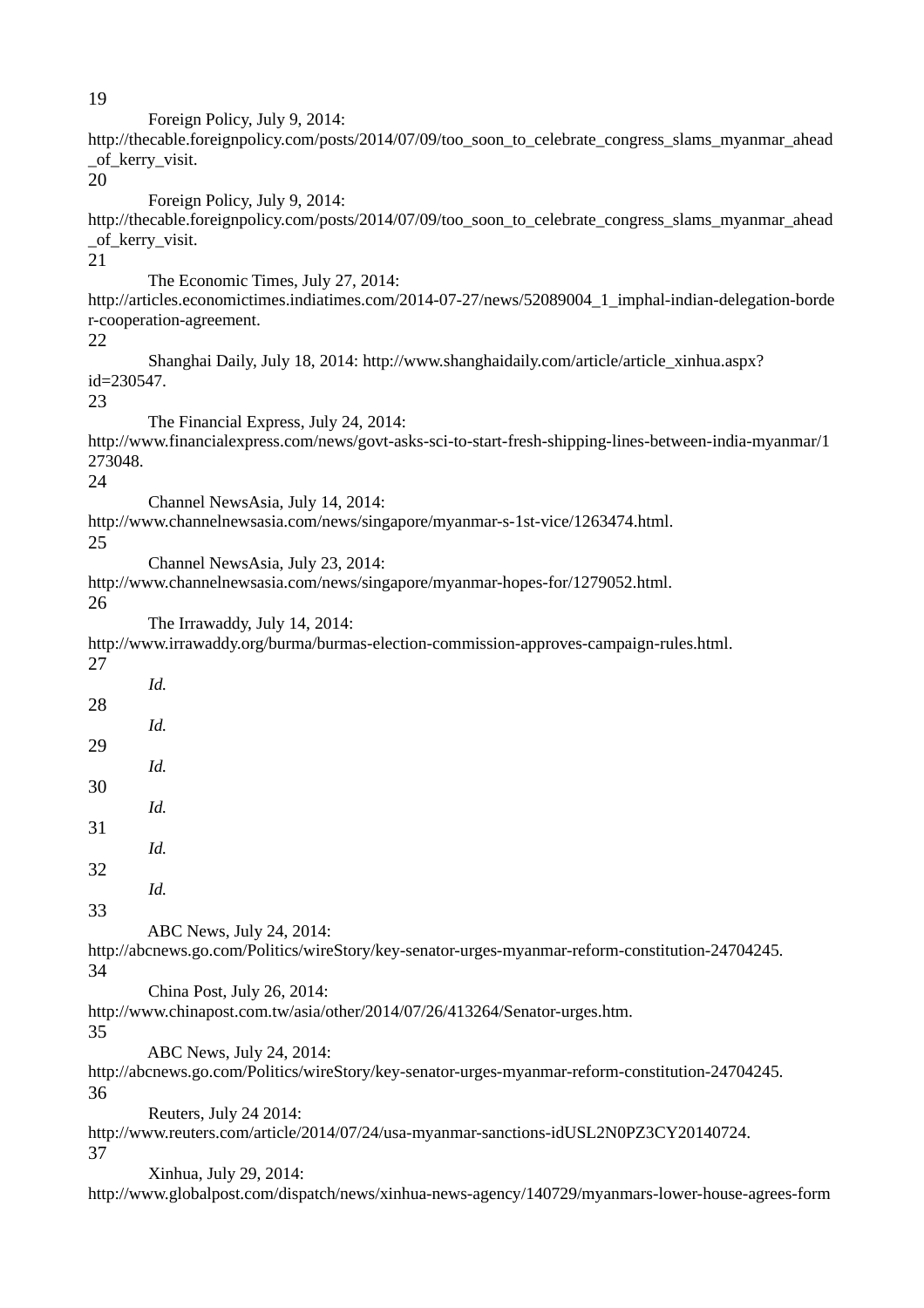19

 Foreign Policy, July 9, 2014: http://thecable.foreignpolicy.com/posts/2014/07/09/too\_soon\_to\_celebrate\_congress\_slams\_myanmar\_ahead \_of\_kerry\_visit. 20 Foreign Policy, July 9, 2014: http://thecable.foreignpolicy.com/posts/2014/07/09/too\_soon\_to\_celebrate\_congress\_slams\_myanmar\_ahead \_of\_kerry\_visit. 21 The Economic Times, July 27, 2014: http://articles.economictimes.indiatimes.com/2014-07-27/news/52089004\_1\_imphal-indian-delegation-borde r-cooperation-agreement. 22 Shanghai Daily, July 18, 2014: http://www.shanghaidaily.com/article/article\_xinhua.aspx? id=230547. 23 The Financial Express, July 24, 2014: http://www.financialexpress.com/news/govt-asks-sci-to-start-fresh-shipping-lines-between-india-myanmar/1 273048. 24 Channel NewsAsia, July 14, 2014: http://www.channelnewsasia.com/news/singapore/myanmar-s-1st-vice/1263474.html. 25 Channel NewsAsia, July 23, 2014: http://www.channelnewsasia.com/news/singapore/myanmar-hopes-for/1279052.html. 26 The Irrawaddy, July 14, 2014: http://www.irrawaddy.org/burma/burmas-election-commission-approves-campaign-rules.html. 27 *Id.* 28 *Id.* 29 *Id.* 30 *Id.* 31 *Id.* 32 *Id.* 33 ABC News, July 24, 2014: http://abcnews.go.com/Politics/wireStory/key-senator-urges-myanmar-reform-constitution-24704245. 34 China Post, July 26, 2014: http://www.chinapost.com.tw/asia/other/2014/07/26/413264/Senator-urges.htm. 35 ABC News, July 24, 2014: http://abcnews.go.com/Politics/wireStory/key-senator-urges-myanmar-reform-constitution-24704245. 36 Reuters, July 24 2014: http://www.reuters.com/article/2014/07/24/usa-myanmar-sanctions-idUSL2N0PZ3CY20140724. 37 Xinhua, July 29, 2014:

http://www.globalpost.com/dispatch/news/xinhua-news-agency/140729/myanmars-lower-house-agrees-form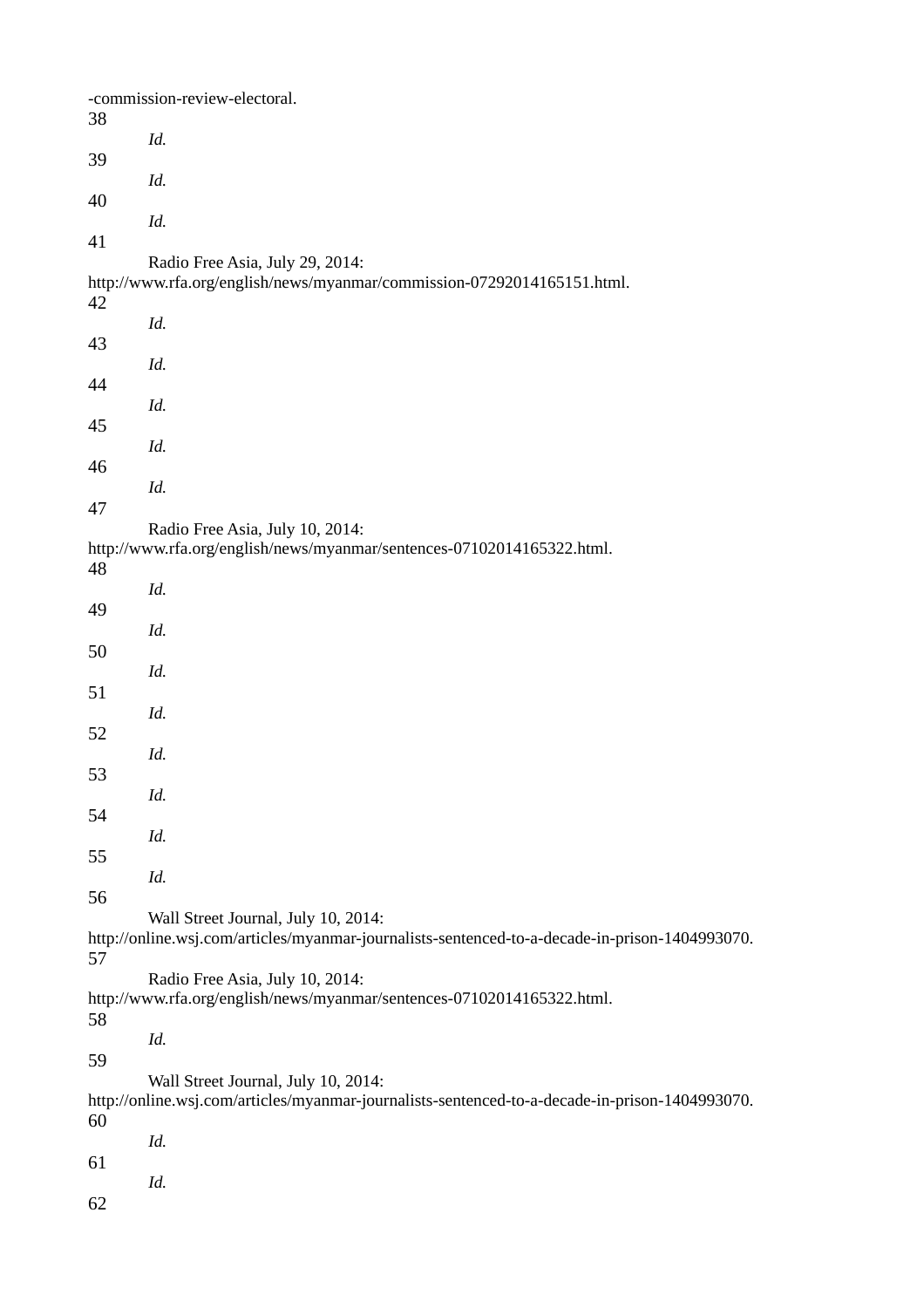|    | -commission-review-electoral.                                                                                                         |
|----|---------------------------------------------------------------------------------------------------------------------------------------|
| 38 | Id.                                                                                                                                   |
| 39 | Id.                                                                                                                                   |
| 40 | Id.                                                                                                                                   |
| 41 | Radio Free Asia, July 29, 2014:                                                                                                       |
|    | http://www.rfa.org/english/news/myanmar/commission-07292014165151.html.                                                               |
| 42 | Id.                                                                                                                                   |
| 43 | Id.                                                                                                                                   |
| 44 | Id.                                                                                                                                   |
| 45 | Id.                                                                                                                                   |
| 46 | Id.                                                                                                                                   |
| 47 | Radio Free Asia, July 10, 2014:                                                                                                       |
| 48 | http://www.rfa.org/english/news/myanmar/sentences-07102014165322.html.                                                                |
| 49 | Id.                                                                                                                                   |
| 50 | Id.                                                                                                                                   |
| 51 | Id.                                                                                                                                   |
|    | Id.                                                                                                                                   |
| 52 | Id.                                                                                                                                   |
| 53 | Id.                                                                                                                                   |
| 54 | Id.                                                                                                                                   |
| 55 | Id.                                                                                                                                   |
| 56 | Wall Street Journal, July 10, 2014:                                                                                                   |
| 57 | http://online.wsj.com/articles/myanmar-journalists-sentenced-to-a-decade-in-prison-1404993070.                                        |
| 58 | Radio Free Asia, July 10, 2014:<br>http://www.rfa.org/english/news/myanmar/sentences-07102014165322.html.                             |
| 59 | Id.                                                                                                                                   |
|    | Wall Street Journal, July 10, 2014:<br>http://online.wsj.com/articles/myanmar-journalists-sentenced-to-a-decade-in-prison-1404993070. |
| 60 | Id.                                                                                                                                   |
| 61 | Id.                                                                                                                                   |
| 62 |                                                                                                                                       |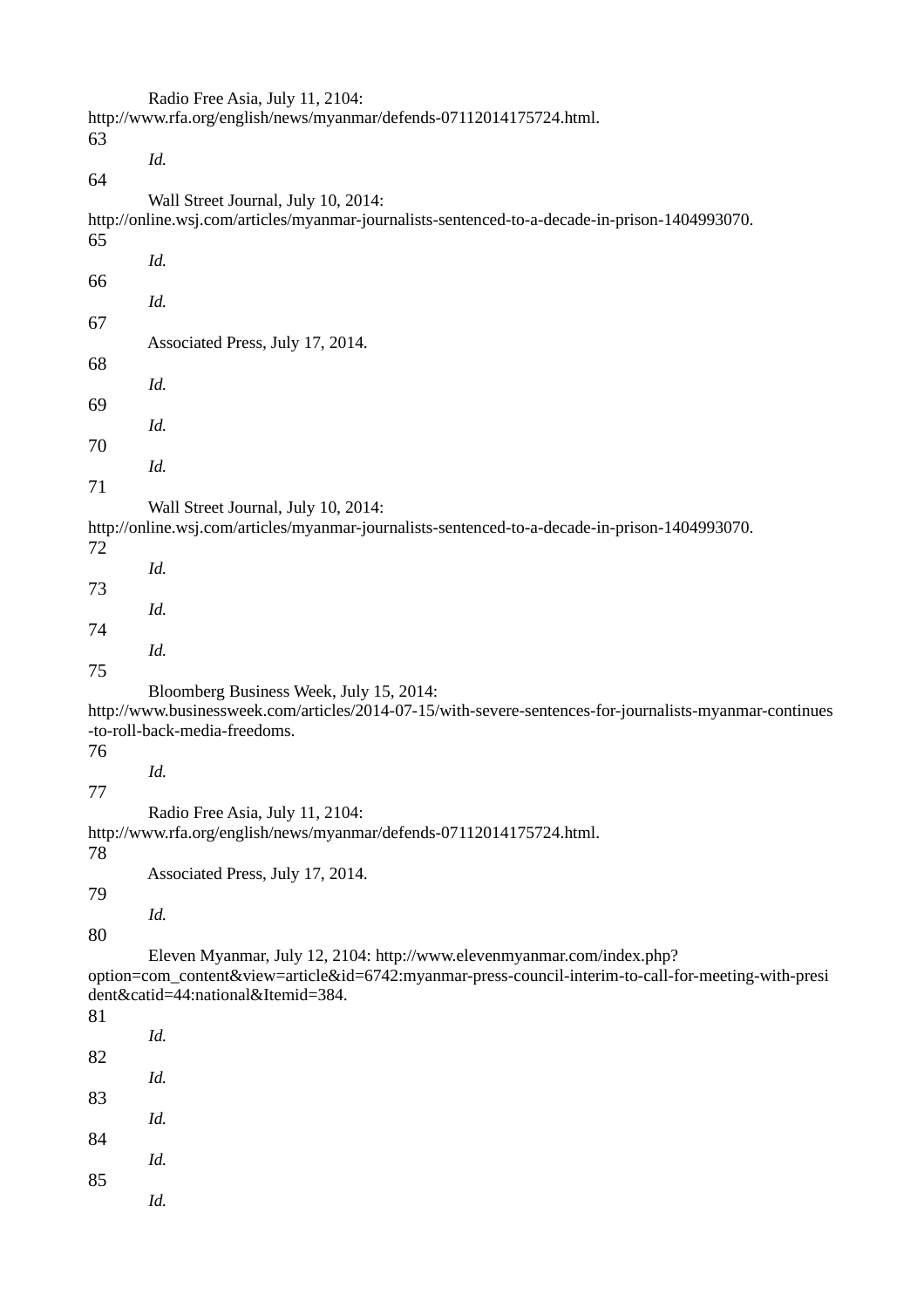Radio Free Asia, July 11, 2104: http://www.rfa.org/english/news/myanmar/defends-07112014175724.html. 63 *Id.* 64 Wall Street Journal, July 10, 2014: http://online.wsj.com/articles/myanmar-journalists-sentenced-to-a-decade-in-prison-1404993070. 65 *Id.* 66 *Id.* 67 Associated Press, July 17, 2014. 68 *Id.* 69 *Id.* 70 *Id.* 71 Wall Street Journal, July 10, 2014: http://online.wsj.com/articles/myanmar-journalists-sentenced-to-a-decade-in-prison-1404993070. 72 *Id.* 73 *Id.* 74 *Id.* 75 Bloomberg Business Week, July 15, 2014: http://www.businessweek.com/articles/2014-07-15/with-severe-sentences-for-journalists-myanmar-continues -to-roll-back-media-freedoms. 76 *Id.* 77 Radio Free Asia, July 11, 2104: http://www.rfa.org/english/news/myanmar/defends-07112014175724.html. 78 Associated Press, July 17, 2014. 79 *Id.* 80 Eleven Myanmar, July 12, 2104: http://www.elevenmyanmar.com/index.php? option=com\_content&view=article&id=6742:myanmar-press-council-interim-to-call-for-meeting-with-presi dent&catid=44:national&Itemid=384. 81 *Id.* 82 *Id.* 83 *Id.* 84 *Id.* 85 *Id.*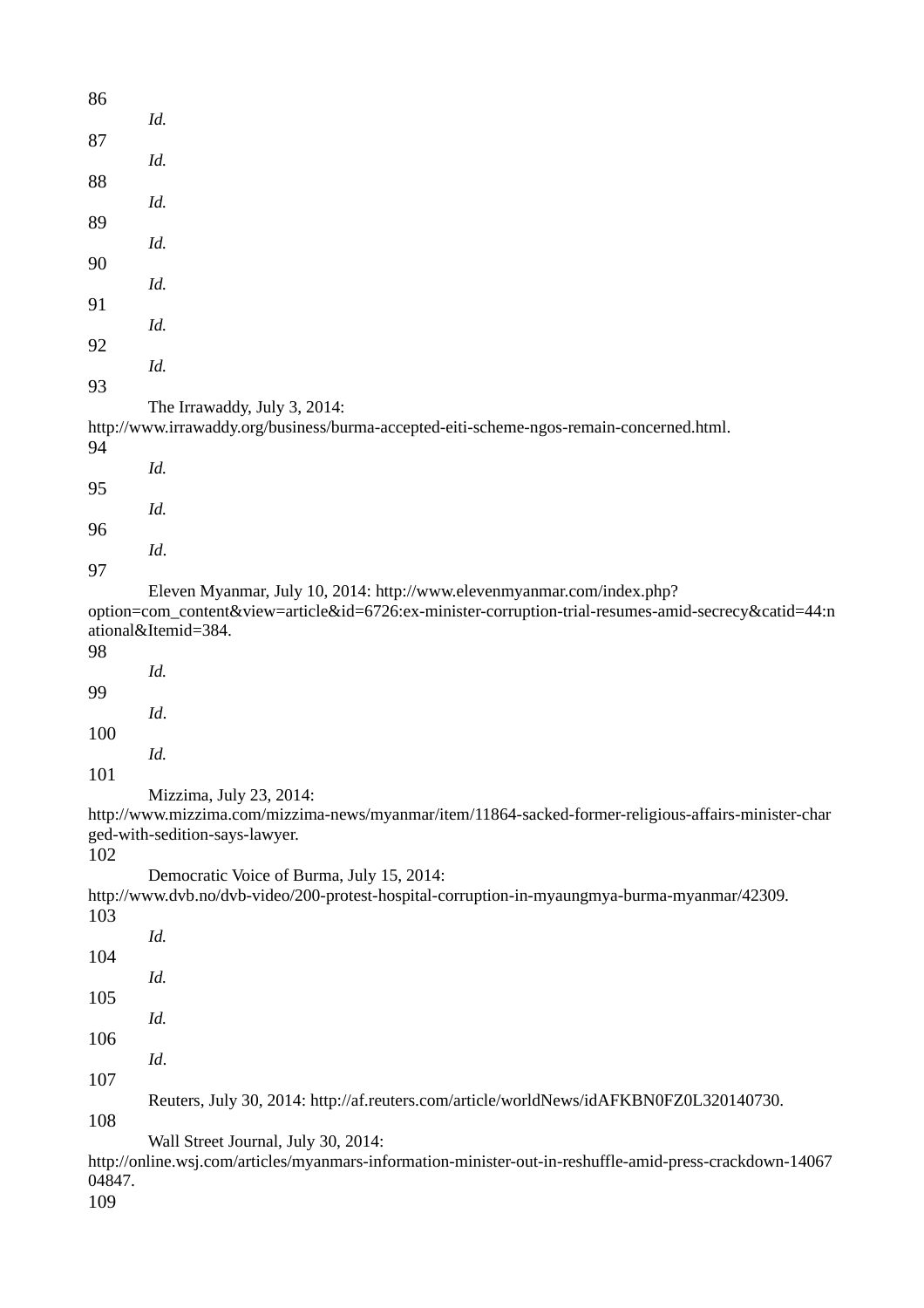| 86     |                                                                                                                                                                                |
|--------|--------------------------------------------------------------------------------------------------------------------------------------------------------------------------------|
| 87     | Id.                                                                                                                                                                            |
| 88     | Id.                                                                                                                                                                            |
| 89     | Id.                                                                                                                                                                            |
|        | Id.                                                                                                                                                                            |
| 90     | Id.                                                                                                                                                                            |
| 91     | Id.                                                                                                                                                                            |
| 92     | Id.                                                                                                                                                                            |
| 93     | The Irrawaddy, July 3, 2014:                                                                                                                                                   |
| 94     | http://www.irrawaddy.org/business/burma-accepted-eiti-scheme-ngos-remain-concerned.html.                                                                                       |
| 95     | Id.                                                                                                                                                                            |
| 96     | Id.                                                                                                                                                                            |
| 97     | Id.                                                                                                                                                                            |
|        | Eleven Myanmar, July 10, 2014: http://www.elevenmyanmar.com/index.php?<br>option=com_content&view=article&id=6726:ex-minister-corruption-trial-resumes-amid-secrecy&catid=44:n |
| 98     | ational&Itemid=384.                                                                                                                                                            |
| 99     | Id.                                                                                                                                                                            |
| 100    | Id.                                                                                                                                                                            |
| 101    | Id.                                                                                                                                                                            |
|        | Mizzima, July 23, 2014:<br>http://www.mizzima.com/mizzima-news/myanmar/item/11864-sacked-former-religious-affairs-minister-char                                                |
| 102    | ged-with-sedition-says-lawyer.                                                                                                                                                 |
| 103    | Democratic Voice of Burma, July 15, 2014:<br>http://www.dvb.no/dvb-video/200-protest-hospital-corruption-in-myaungmya-burma-myanmar/42309.                                     |
| 104    | Id.                                                                                                                                                                            |
|        | Id.                                                                                                                                                                            |
| 105    | Id.                                                                                                                                                                            |
| 106    | Id.                                                                                                                                                                            |
| 107    | Reuters, July 30, 2014: http://af.reuters.com/article/worldNews/idAFKBN0FZ0L320140730.                                                                                         |
| 108    | Wall Street Journal, July 30, 2014:                                                                                                                                            |
| 04847. | http://online.wsj.com/articles/myanmars-information-minister-out-in-reshuffle-amid-press-crackdown-14067                                                                       |

109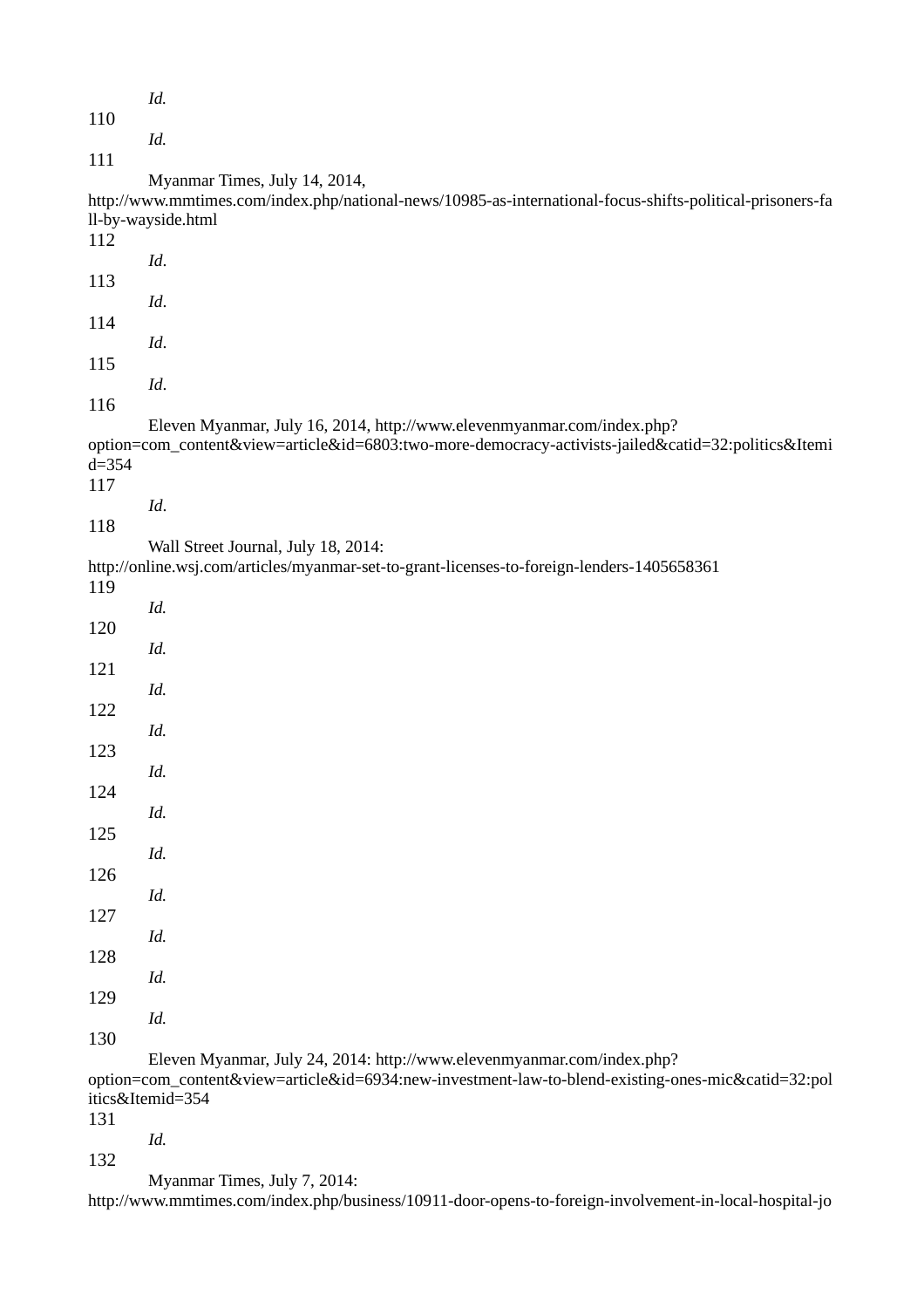|           | Id.                                                                                                                               |
|-----------|-----------------------------------------------------------------------------------------------------------------------------------|
| 110       |                                                                                                                                   |
|           | Id.                                                                                                                               |
| 111       |                                                                                                                                   |
|           | Myanmar Times, July 14, 2014,                                                                                                     |
|           | http://www.mmtimes.com/index.php/national-news/10985-as-international-focus-shifts-political-prisoners-fa                         |
| 112       | ll-by-wayside.html                                                                                                                |
|           | Id.                                                                                                                               |
| 113       |                                                                                                                                   |
|           | Id.                                                                                                                               |
| 114       |                                                                                                                                   |
|           | Id.                                                                                                                               |
| 115       |                                                                                                                                   |
| 116       | Id.                                                                                                                               |
|           | Eleven Myanmar, July 16, 2014, http://www.elevenmyanmar.com/index.php?                                                            |
|           | option=com_content&view=article&id=6803:two-more-democracy-activists-jailed&catid=32:politics&Itemi                               |
| $d = 354$ |                                                                                                                                   |
| 117       |                                                                                                                                   |
|           | Id.                                                                                                                               |
| 118       |                                                                                                                                   |
|           | Wall Street Journal, July 18, 2014:<br>http://online.wsj.com/articles/myanmar-set-to-grant-licenses-to-foreign-lenders-1405658361 |
| 119       |                                                                                                                                   |
|           | Id.                                                                                                                               |
| 120       |                                                                                                                                   |
|           | Id.                                                                                                                               |
| 121       |                                                                                                                                   |
|           | Id.                                                                                                                               |
| 122       | Id.                                                                                                                               |
| 123       |                                                                                                                                   |
|           | Id.                                                                                                                               |
| 124       |                                                                                                                                   |
|           | Id.                                                                                                                               |
| 125       |                                                                                                                                   |
|           | Id.                                                                                                                               |
| 126       | Id.                                                                                                                               |
| 127       |                                                                                                                                   |
|           | Id.                                                                                                                               |
| 128       |                                                                                                                                   |
|           | Id.                                                                                                                               |
| 129       |                                                                                                                                   |
|           | Id.                                                                                                                               |
| 130       | Eleven Myanmar, July 24, 2014: http://www.elevenmyanmar.com/index.php?                                                            |
|           | option=com_content&view=article&id=6934:new-investment-law-to-blend-existing-ones-mic&catid=32:pol                                |
|           | itics&Itemid=354                                                                                                                  |
| 131       |                                                                                                                                   |

*Id.*

132

Myanmar Times, July 7, 2014:

http://www.mmtimes.com/index.php/business/10911-door-opens-to-foreign-involvement-in-local-hospital-jo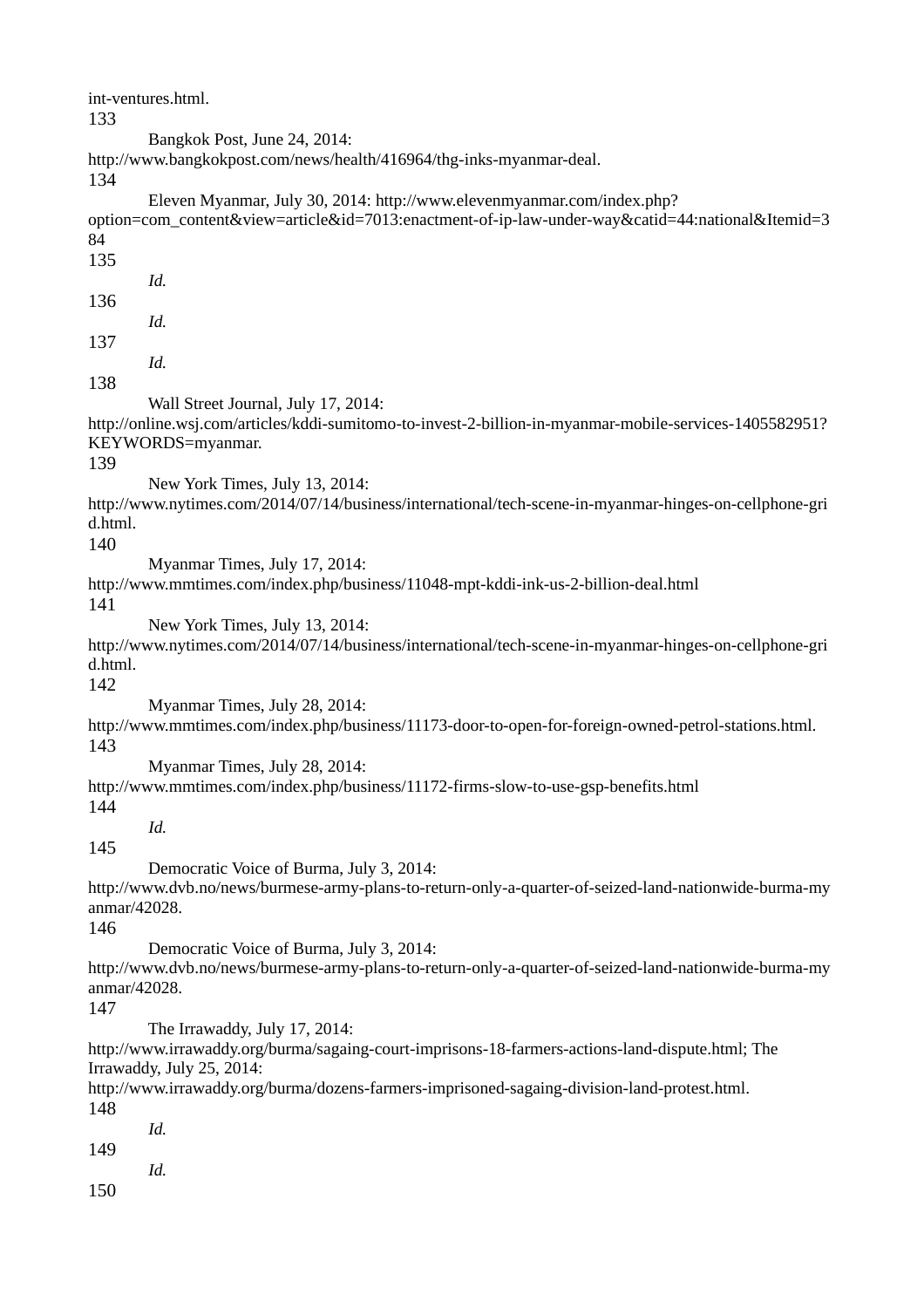int-ventures.html. 133 Bangkok Post, June 24, 2014: http://www.bangkokpost.com/news/health/416964/thg-inks-myanmar-deal. 134 Eleven Myanmar, July 30, 2014: http://www.elevenmyanmar.com/index.php? option=com\_content&view=article&id=7013:enactment-of-ip-law-under-way&catid=44:national&Itemid=3 84 135 *Id.* 136 *Id.* 137 *Id.* 138 Wall Street Journal, July 17, 2014: http://online.wsj.com/articles/kddi-sumitomo-to-invest-2-billion-in-myanmar-mobile-services-1405582951? KEYWORDS=myanmar. 139 New York Times, July 13, 2014: http://www.nytimes.com/2014/07/14/business/international/tech-scene-in-myanmar-hinges-on-cellphone-gri d.html. 140 Myanmar Times, July 17, 2014: http://www.mmtimes.com/index.php/business/11048-mpt-kddi-ink-us-2-billion-deal.html 141 New York Times, July 13, 2014: http://www.nytimes.com/2014/07/14/business/international/tech-scene-in-myanmar-hinges-on-cellphone-gri d.html. 142 Myanmar Times, July 28, 2014: http://www.mmtimes.com/index.php/business/11173-door-to-open-for-foreign-owned-petrol-stations.html. 143 Myanmar Times, July 28, 2014: http://www.mmtimes.com/index.php/business/11172-firms-slow-to-use-gsp-benefits.html 144 *Id.* 145 Democratic Voice of Burma, July 3, 2014: http://www.dvb.no/news/burmese-army-plans-to-return-only-a-quarter-of-seized-land-nationwide-burma-my anmar/42028. 146 Democratic Voice of Burma, July 3, 2014: http://www.dvb.no/news/burmese-army-plans-to-return-only-a-quarter-of-seized-land-nationwide-burma-my anmar/42028. 147 The Irrawaddy, July 17, 2014: http://www.irrawaddy.org/burma/sagaing-court-imprisons-18-farmers-actions-land-dispute.html; The Irrawaddy, July 25, 2014: http://www.irrawaddy.org/burma/dozens-farmers-imprisoned-sagaing-division-land-protest.html. 148 *Id.* 149 *Id.* 150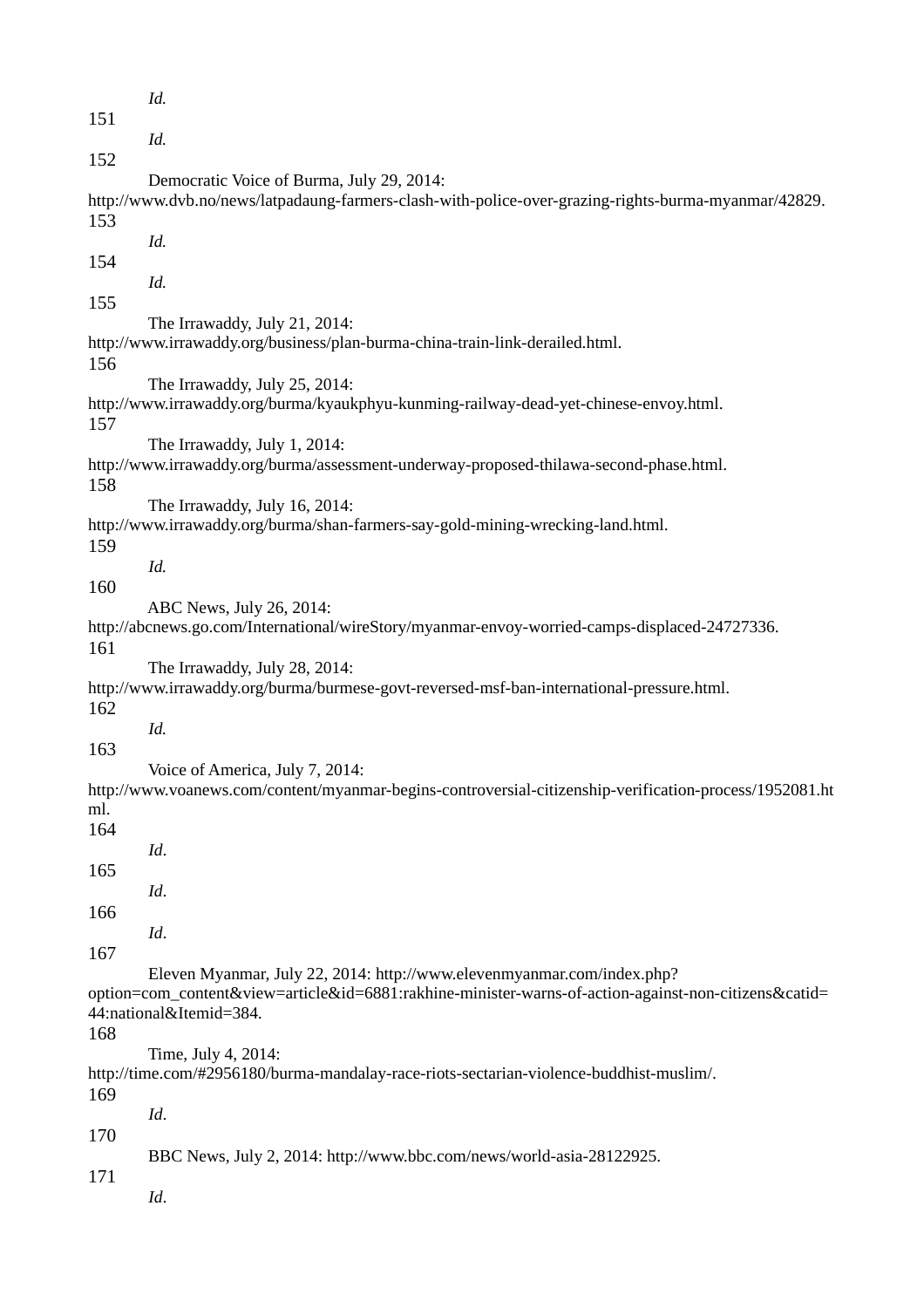*Id.* 151 *Id.* 152 Democratic Voice of Burma, July 29, 2014: http://www.dvb.no/news/latpadaung-farmers-clash-with-police-over-grazing-rights-burma-myanmar/42829. 153 *Id.* 154 *Id.* 155 The Irrawaddy, July 21, 2014: http://www.irrawaddy.org/business/plan-burma-china-train-link-derailed.html. 156 The Irrawaddy, July 25, 2014: http://www.irrawaddy.org/burma/kyaukphyu-kunming-railway-dead-yet-chinese-envoy.html. 157 The Irrawaddy, July 1, 2014: http://www.irrawaddy.org/burma/assessment-underway-proposed-thilawa-second-phase.html. 158 The Irrawaddy, July 16, 2014: http://www.irrawaddy.org/burma/shan-farmers-say-gold-mining-wrecking-land.html. 159 *Id.* 160 ABC News, July 26, 2014: http://abcnews.go.com/International/wireStory/myanmar-envoy-worried-camps-displaced-24727336. 161 The Irrawaddy, July 28, 2014: http://www.irrawaddy.org/burma/burmese-govt-reversed-msf-ban-international-pressure.html. 162 *Id.* 163 Voice of America, July 7, 2014: http://www.voanews.com/content/myanmar-begins-controversial-citizenship-verification-process/1952081.ht ml. 164 *Id*. 165 *Id*. 166 *Id*. 167 Eleven Myanmar, July 22, 2014: http://www.elevenmyanmar.com/index.php? option=com\_content&view=article&id=6881:rakhine-minister-warns-of-action-against-non-citizens&catid= 44:national&Itemid=384. 168 Time, July 4, 2014: http://time.com/#2956180/burma-mandalay-race-riots-sectarian-violence-buddhist-muslim/. 169 *Id*. 170 BBC News, July 2, 2014: http://www.bbc.com/news/world-asia-28122925. 171 *Id*.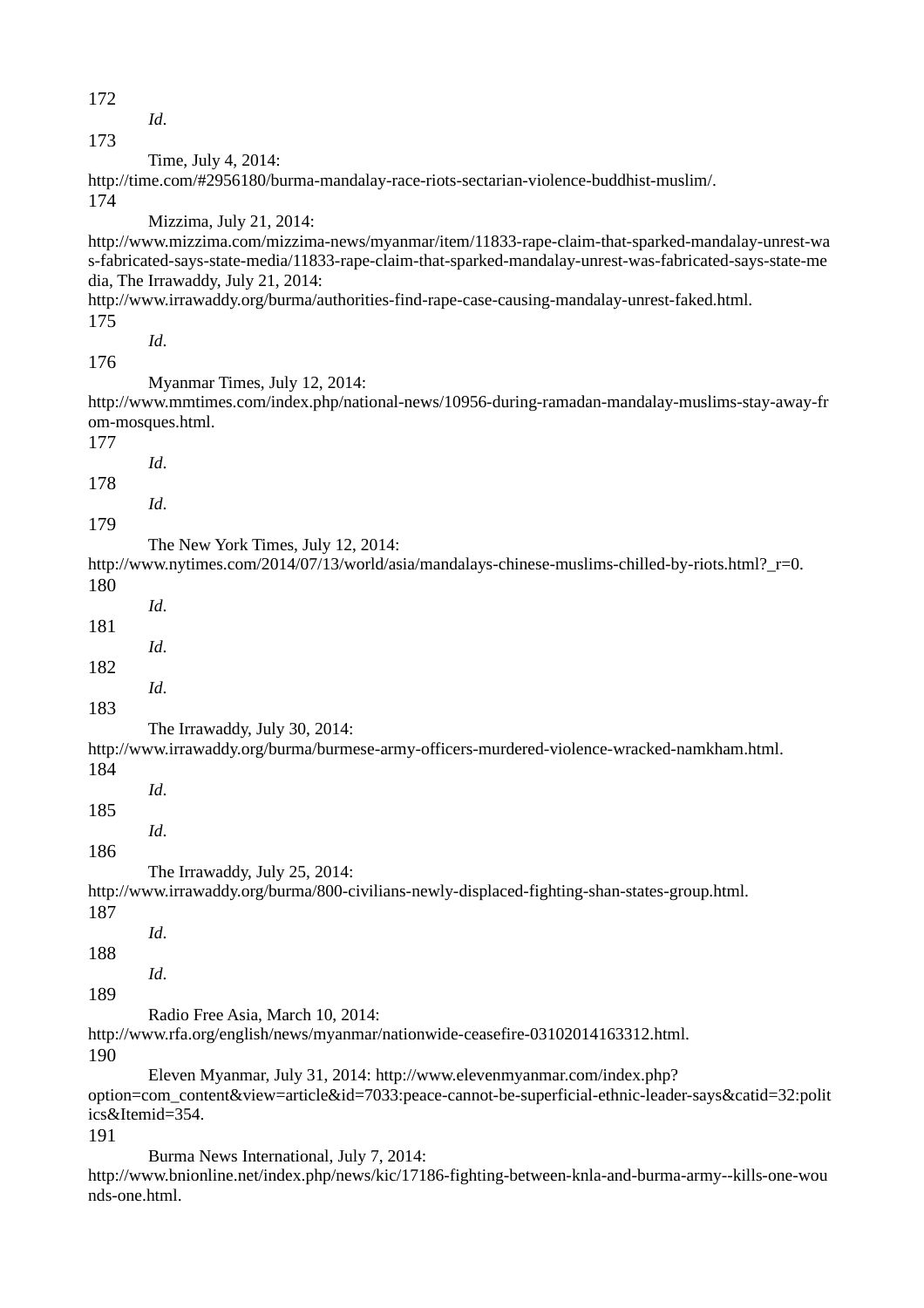172

*Id*.

173

Time, July 4, 2014:

http://time.com/#2956180/burma-mandalay-race-riots-sectarian-violence-buddhist-muslim/. 174

Mizzima, July 21, 2014:

http://www.mizzima.com/mizzima-news/myanmar/item/11833-rape-claim-that-sparked-mandalay-unrest-wa s-fabricated-says-state-media/11833-rape-claim-that-sparked-mandalay-unrest-was-fabricated-says-state-me dia, The Irrawaddy, July 21, 2014:

http://www.irrawaddy.org/burma/authorities-find-rape-case-causing-mandalay-unrest-faked.html. 175

*Id*.

*Id*.

*Id*.

*Id*.

*Id*.

176

Myanmar Times, July 12, 2014:

http://www.mmtimes.com/index.php/national-news/10956-during-ramadan-mandalay-muslims-stay-away-fr om-mosques.html.

177

178

179

The New York Times, July 12, 2014:

http://www.nytimes.com/2014/07/13/world/asia/mandalays-chinese-muslims-chilled-by-riots.html?\_r=0. 180

181

182

*Id*.

183

The Irrawaddy, July 30, 2014:

http://www.irrawaddy.org/burma/burmese-army-officers-murdered-violence-wracked-namkham.html.

184

*Id*. 185

*Id*.

*Id*.

186

The Irrawaddy, July 25, 2014:

http://www.irrawaddy.org/burma/800-civilians-newly-displaced-fighting-shan-states-group.html.

187

*Id*.

188

189

Radio Free Asia, March 10, 2014:

http://www.rfa.org/english/news/myanmar/nationwide-ceasefire-03102014163312.html. 190

Eleven Myanmar, July 31, 2014: http://www.elevenmyanmar.com/index.php?

option=com\_content&view=article&id=7033:peace-cannot-be-superficial-ethnic-leader-says&catid=32:polit ics&Itemid=354.

191

Burma News International, July 7, 2014:

http://www.bnionline.net/index.php/news/kic/17186-fighting-between-knla-and-burma-army--kills-one-wou nds-one.html.